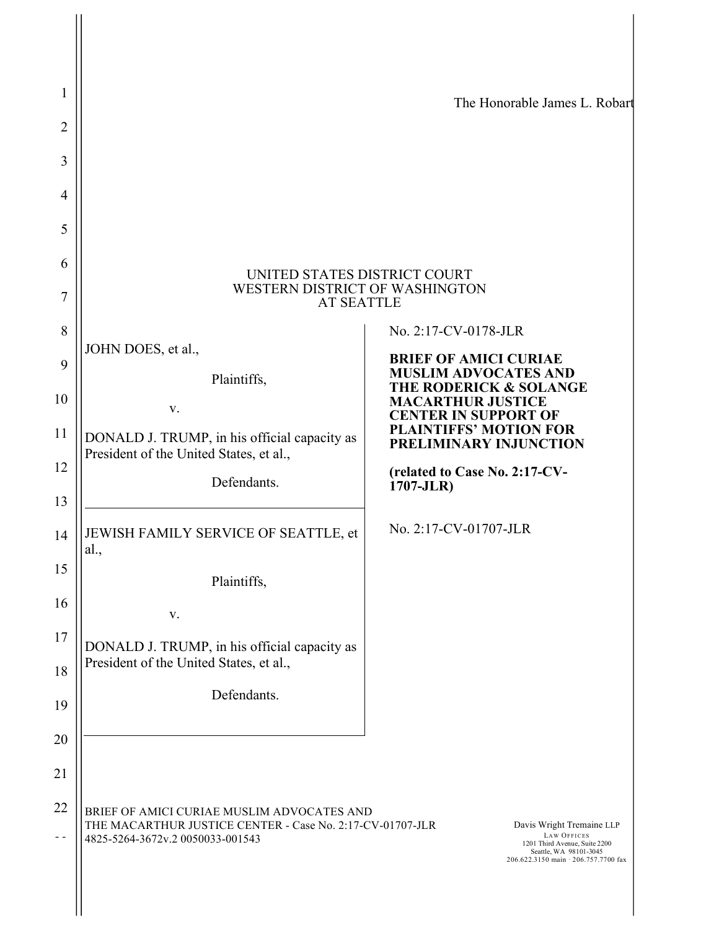| 1<br>$\overline{2}$ |                                                                                                                                             | The Honorable James L. Robart                                                                                                                    |
|---------------------|---------------------------------------------------------------------------------------------------------------------------------------------|--------------------------------------------------------------------------------------------------------------------------------------------------|
| 3                   |                                                                                                                                             |                                                                                                                                                  |
| $\overline{4}$      |                                                                                                                                             |                                                                                                                                                  |
| 5                   |                                                                                                                                             |                                                                                                                                                  |
| 6<br>$\overline{7}$ | UNITED STATES DISTRICT COURT<br>WESTERN DISTRICT OF WASHINGTON<br><b>AT SEATTLE</b>                                                         |                                                                                                                                                  |
| 8                   | JOHN DOES, et al.,                                                                                                                          | No. 2:17-CV-0178-JLR                                                                                                                             |
| 9<br>10             | Plaintiffs,                                                                                                                                 | <b>BRIEF OF AMICI CURIAE</b><br><b>MUSLIM ADVOCATES AND</b><br>THE RODERICK & SOLANGE<br><b>MACARTHUR JUSTICE</b>                                |
| 11                  | ${\bf V}.$<br>DONALD J. TRUMP, in his official capacity as<br>President of the United States, et al.,                                       | <b>CENTER IN SUPPORT OF</b><br><b>PLAINTIFFS' MOTION FOR</b><br>PRELIMINARY INJUNCTION                                                           |
| 12<br>13            | Defendants.                                                                                                                                 | (related to Case No. 2:17-CV-<br>$1707$ -JLR)                                                                                                    |
| 14                  | JEWISH FAMILY SERVICE OF SEATTLE, et<br>al.,                                                                                                | No. 2:17-CV-01707-JLR                                                                                                                            |
| 15                  | Plaintiffs,                                                                                                                                 |                                                                                                                                                  |
| 16                  | V.                                                                                                                                          |                                                                                                                                                  |
| 17<br>18            | DONALD J. TRUMP, in his official capacity as<br>President of the United States, et al.,                                                     |                                                                                                                                                  |
| 19                  | Defendants.                                                                                                                                 |                                                                                                                                                  |
| 20                  |                                                                                                                                             |                                                                                                                                                  |
| 21                  |                                                                                                                                             |                                                                                                                                                  |
| 22                  | BRIEF OF AMICI CURIAE MUSLIM ADVOCATES AND<br>THE MACARTHUR JUSTICE CENTER - Case No. 2:17-CV-01707-JLR<br>4825-5264-3672v.2 0050033-001543 | Davis Wright Tremaine LLP<br><b>LAW OFFICES</b><br>1201 Third Avenue, Suite 2200<br>Seattle, WA 98101-3045<br>206.622.3150 main 206.757.7700 fax |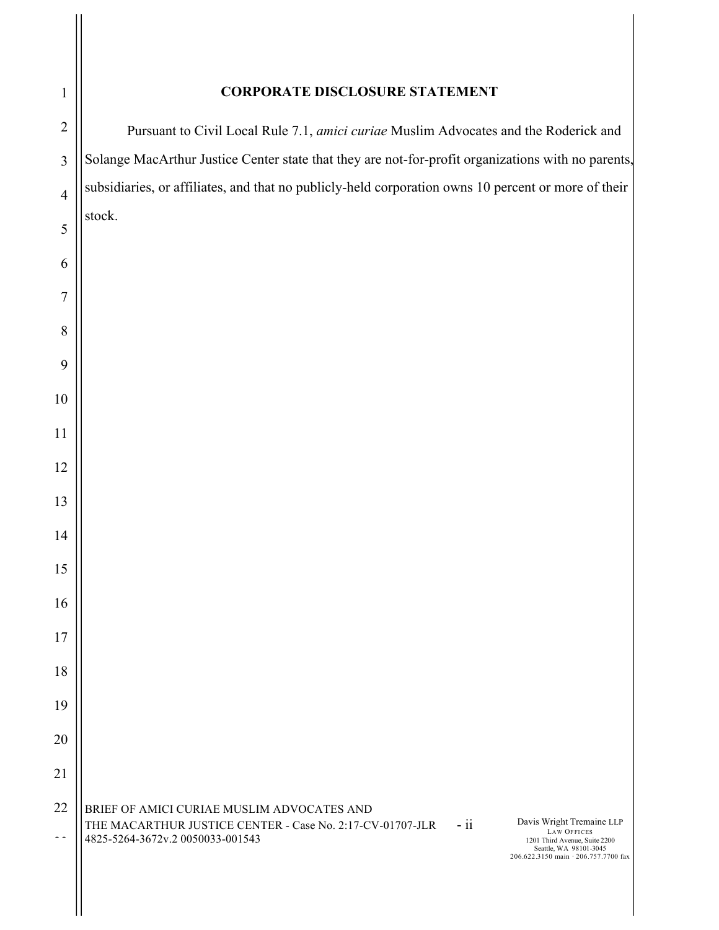# **CORPORATE DISCLOSURE STATEMENT**

Pursuant to Civil Local Rule 7.1, *amici curiae* Muslim Advocates and the Roderick and Solange MacArthur Justice Center state that they are not-for-profit organizations with no parents, subsidiaries, or affiliates, and that no publicly-held corporation owns 10 percent or more of their

| $\overline{4}$   | subsidiaries, or arritates, and that no publicly-neig corporation owns TO percent or more of their                                                                                                                                                                                                         |
|------------------|------------------------------------------------------------------------------------------------------------------------------------------------------------------------------------------------------------------------------------------------------------------------------------------------------------|
| 5                | stock.                                                                                                                                                                                                                                                                                                     |
| $\sqrt{6}$       |                                                                                                                                                                                                                                                                                                            |
| $\boldsymbol{7}$ |                                                                                                                                                                                                                                                                                                            |
| $\,8\,$          |                                                                                                                                                                                                                                                                                                            |
| 9                |                                                                                                                                                                                                                                                                                                            |
| $10\,$           |                                                                                                                                                                                                                                                                                                            |
| $1\,1$           |                                                                                                                                                                                                                                                                                                            |
| $12\,$           |                                                                                                                                                                                                                                                                                                            |
| 13               |                                                                                                                                                                                                                                                                                                            |
| $14$             |                                                                                                                                                                                                                                                                                                            |
| $15\,$           |                                                                                                                                                                                                                                                                                                            |
| $16\,$           |                                                                                                                                                                                                                                                                                                            |
| $17\,$           |                                                                                                                                                                                                                                                                                                            |
| $18\,$           |                                                                                                                                                                                                                                                                                                            |
| $19\,$           |                                                                                                                                                                                                                                                                                                            |
| 20               |                                                                                                                                                                                                                                                                                                            |
| 21               |                                                                                                                                                                                                                                                                                                            |
| 22<br>- -        | BRIEF OF AMICI CURIAE MUSLIM ADVOCATES AND<br>Davis Wright Tremaine LLP<br>THE MACARTHUR JUSTICE CENTER - Case No. 2:17-CV-01707-JLR<br>$-11$<br><b>LAW OFFICES</b><br>4825-5264-3672v.2 0050033-001543<br>1201 Third Avenue, Suite 2200<br>Seattle, WA 98101-3045<br>206.622.3150 main · 206.757.7700 fax |
|                  |                                                                                                                                                                                                                                                                                                            |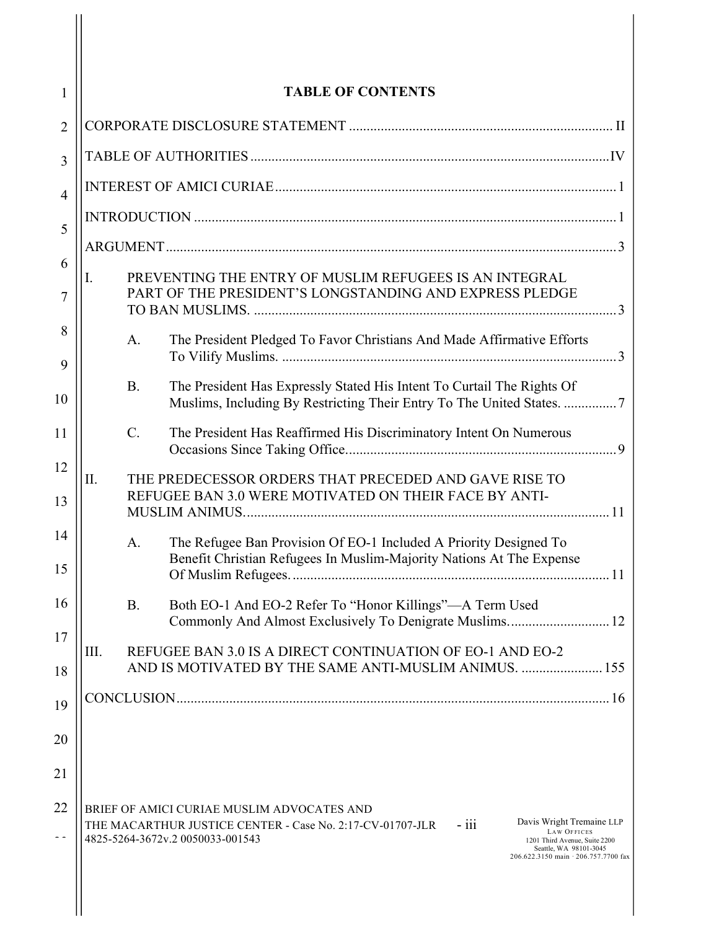| 1              |                                                                                                                            |                 | <b>TABLE OF CONTENTS</b>                                                                                                                                                                                                                                                                                  |  |
|----------------|----------------------------------------------------------------------------------------------------------------------------|-----------------|-----------------------------------------------------------------------------------------------------------------------------------------------------------------------------------------------------------------------------------------------------------------------------------------------------------|--|
| $\overline{2}$ |                                                                                                                            |                 |                                                                                                                                                                                                                                                                                                           |  |
| 3              |                                                                                                                            |                 |                                                                                                                                                                                                                                                                                                           |  |
| $\overline{4}$ |                                                                                                                            |                 |                                                                                                                                                                                                                                                                                                           |  |
| 5              |                                                                                                                            |                 |                                                                                                                                                                                                                                                                                                           |  |
| 6              |                                                                                                                            |                 |                                                                                                                                                                                                                                                                                                           |  |
| 7              | I.                                                                                                                         |                 | PREVENTING THE ENTRY OF MUSLIM REFUGEES IS AN INTEGRAL<br>PART OF THE PRESIDENT'S LONGSTANDING AND EXPRESS PLEDGE                                                                                                                                                                                         |  |
| 8<br>9         |                                                                                                                            | A.              | The President Pledged To Favor Christians And Made Affirmative Efforts                                                                                                                                                                                                                                    |  |
| 10             |                                                                                                                            | <b>B.</b>       | The President Has Expressly Stated His Intent To Curtail The Rights Of<br>Muslims, Including By Restricting Their Entry To The United States. 7                                                                                                                                                           |  |
| 11             |                                                                                                                            | $\mathcal{C}$ . | The President Has Reaffirmed His Discriminatory Intent On Numerous                                                                                                                                                                                                                                        |  |
| 12<br>13       | II.                                                                                                                        |                 | THE PREDECESSOR ORDERS THAT PRECEDED AND GAVE RISE TO<br>REFUGEE BAN 3.0 WERE MOTIVATED ON THEIR FACE BY ANTI-                                                                                                                                                                                            |  |
| 14<br>15       |                                                                                                                            | $A_{\cdot}$     | The Refugee Ban Provision Of EO-1 Included A Priority Designed To<br>Benefit Christian Refugees In Muslim-Majority Nations At The Expense                                                                                                                                                                 |  |
| 16             |                                                                                                                            | <b>B.</b>       | Both EO-1 And EO-2 Refer To "Honor Killings"—A Term Used                                                                                                                                                                                                                                                  |  |
| 17             |                                                                                                                            |                 |                                                                                                                                                                                                                                                                                                           |  |
| 18             | REFUGEE BAN 3.0 IS A DIRECT CONTINUATION OF EO-1 AND EO-2<br>III.<br>AND IS MOTIVATED BY THE SAME ANTI-MUSLIM ANIMUS.  155 |                 |                                                                                                                                                                                                                                                                                                           |  |
| 19             |                                                                                                                            |                 |                                                                                                                                                                                                                                                                                                           |  |
| 20             |                                                                                                                            |                 |                                                                                                                                                                                                                                                                                                           |  |
| 21             |                                                                                                                            |                 |                                                                                                                                                                                                                                                                                                           |  |
| 22<br>- -      |                                                                                                                            |                 | BRIEF OF AMICI CURIAE MUSLIM ADVOCATES AND<br>Davis Wright Tremaine LLP<br>THE MACARTHUR JUSTICE CENTER - Case No. 2:17-CV-01707-JLR<br>$-111$<br><b>LAW OFFICES</b><br>4825-5264-3672v.2 0050033-001543<br>1201 Third Avenue, Suite 2200<br>Seattle, WA 98101-3045<br>206.622.3150 main 206.757.7700 fax |  |

 $\parallel$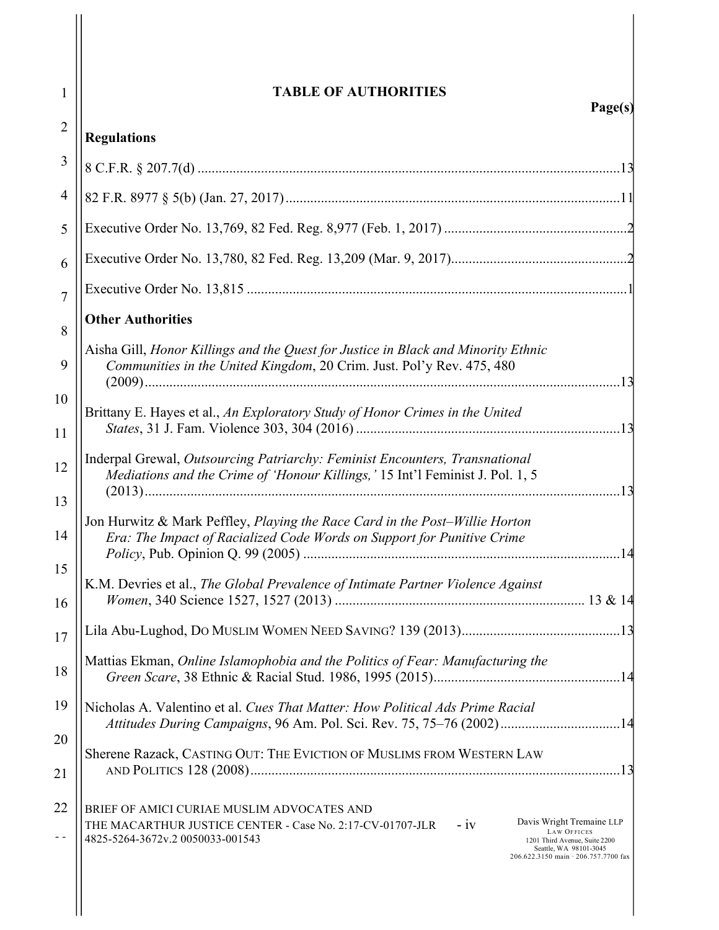| $\mathbf{1}$   | <b>TABLE OF AUTHORITIES</b>                                                                                                                                                                                                                                                                                | Page(s) |
|----------------|------------------------------------------------------------------------------------------------------------------------------------------------------------------------------------------------------------------------------------------------------------------------------------------------------------|---------|
| $\overline{2}$ | <b>Regulations</b>                                                                                                                                                                                                                                                                                         |         |
| 3              |                                                                                                                                                                                                                                                                                                            |         |
| $\overline{4}$ |                                                                                                                                                                                                                                                                                                            |         |
| 5              |                                                                                                                                                                                                                                                                                                            |         |
| 6              |                                                                                                                                                                                                                                                                                                            |         |
| $\overline{7}$ |                                                                                                                                                                                                                                                                                                            |         |
| 8              | <b>Other Authorities</b>                                                                                                                                                                                                                                                                                   |         |
| 9              | Aisha Gill, Honor Killings and the Quest for Justice in Black and Minority Ethnic<br>Communities in the United Kingdom, 20 Crim. Just. Pol'y Rev. 475, 480                                                                                                                                                 |         |
| 10<br>11       | Brittany E. Hayes et al., An Exploratory Study of Honor Crimes in the United                                                                                                                                                                                                                               |         |
| 12<br>13       | Inderpal Grewal, Outsourcing Patriarchy: Feminist Encounters, Transnational<br>Mediations and the Crime of 'Honour Killings,' 15 Int'l Feminist J. Pol. 1, 5                                                                                                                                               |         |
| 14             | Jon Hurwitz & Mark Peffley, Playing the Race Card in the Post-Willie Horton<br>Era: The Impact of Racialized Code Words on Support for Punitive Crime                                                                                                                                                      |         |
| 15<br>16       | K.M. Devries et al., The Global Prevalence of Intimate Partner Violence Against                                                                                                                                                                                                                            |         |
| 17             |                                                                                                                                                                                                                                                                                                            |         |
| 18             | Mattias Ekman, Online Islamophobia and the Politics of Fear: Manufacturing the                                                                                                                                                                                                                             |         |
| 19             | Nicholas A. Valentino et al. Cues That Matter: How Political Ads Prime Racial<br>Attitudes During Campaigns, 96 Am. Pol. Sci. Rev. 75, 75-76 (2002)14                                                                                                                                                      |         |
| 20<br>21       | Sherene Razack, CASTING OUT: THE EVICTION OF MUSLIMS FROM WESTERN LAW                                                                                                                                                                                                                                      |         |
| 22<br>- -      | BRIEF OF AMICI CURIAE MUSLIM ADVOCATES AND<br>Davis Wright Tremaine LLP<br>$-iv$<br>THE MACARTHUR JUSTICE CENTER - Case No. 2:17-CV-01707-JLR<br><b>LAW OFFICES</b><br>4825-5264-3672v.2 0050033-001543<br>1201 Third Avenue, Suite 2200<br>Seattle, WA 98101-3045<br>206.622.3150 main · 206.757.7700 fax |         |

 $\parallel$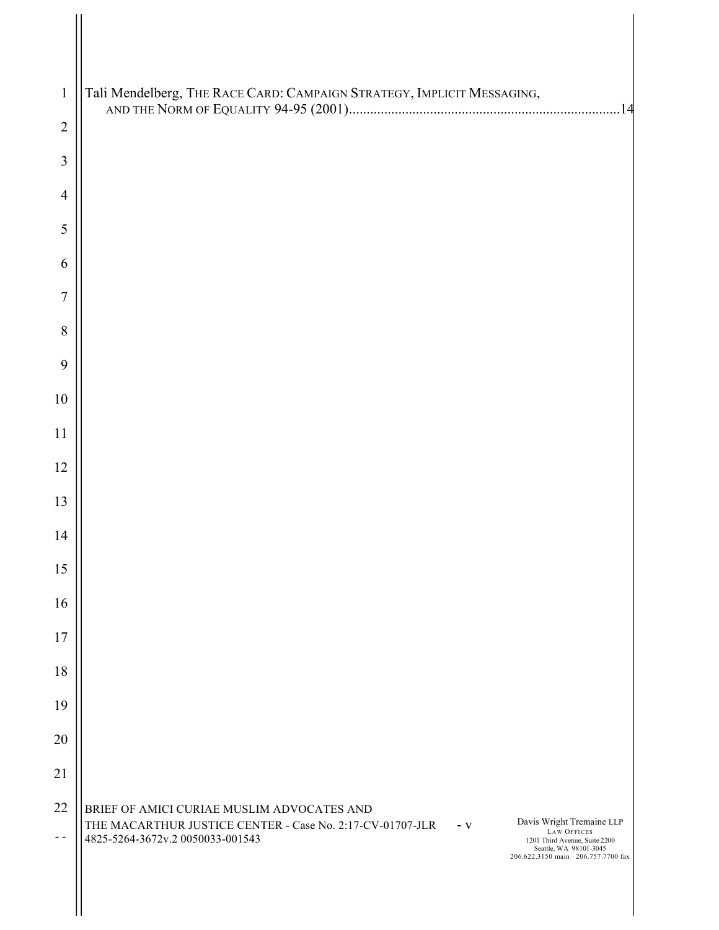| $\mathbf{1}$   | Tali Mendelberg, THE RACE CARD: CAMPAIGN STRATEGY, IMPLICIT MESSAGING,                                                                                                                                                                                       |
|----------------|--------------------------------------------------------------------------------------------------------------------------------------------------------------------------------------------------------------------------------------------------------------|
| $\overline{2}$ |                                                                                                                                                                                                                                                              |
| $\mathfrak{Z}$ |                                                                                                                                                                                                                                                              |
| $\overline{4}$ |                                                                                                                                                                                                                                                              |
| 5              |                                                                                                                                                                                                                                                              |
| 6              |                                                                                                                                                                                                                                                              |
| 7              |                                                                                                                                                                                                                                                              |
| 8              |                                                                                                                                                                                                                                                              |
| 9              |                                                                                                                                                                                                                                                              |
| $10\,$         |                                                                                                                                                                                                                                                              |
| 11             |                                                                                                                                                                                                                                                              |
| 12             |                                                                                                                                                                                                                                                              |
| 13             |                                                                                                                                                                                                                                                              |
| 14             |                                                                                                                                                                                                                                                              |
| 15             |                                                                                                                                                                                                                                                              |
| 16             |                                                                                                                                                                                                                                                              |
| 17             |                                                                                                                                                                                                                                                              |
| 18             |                                                                                                                                                                                                                                                              |
| 19             |                                                                                                                                                                                                                                                              |
| 20             |                                                                                                                                                                                                                                                              |
| 21             |                                                                                                                                                                                                                                                              |
| 22             | BRIEF OF AMICI CURIAE MUSLIM ADVOCATES AND                                                                                                                                                                                                                   |
| $- -$          | Davis Wright Tremaine LLP<br>THE MACARTHUR JUSTICE CENTER - Case No. 2:17-CV-01707-JLR<br>$- V$<br><b>LAW OFFICES</b><br>4825-5264-3672v.2 0050033-001543<br>1201 Third Avenue, Suite 2200<br>Seattle, WA 98101-3045<br>206.622.3150 main · 206.757.7700 fax |
|                |                                                                                                                                                                                                                                                              |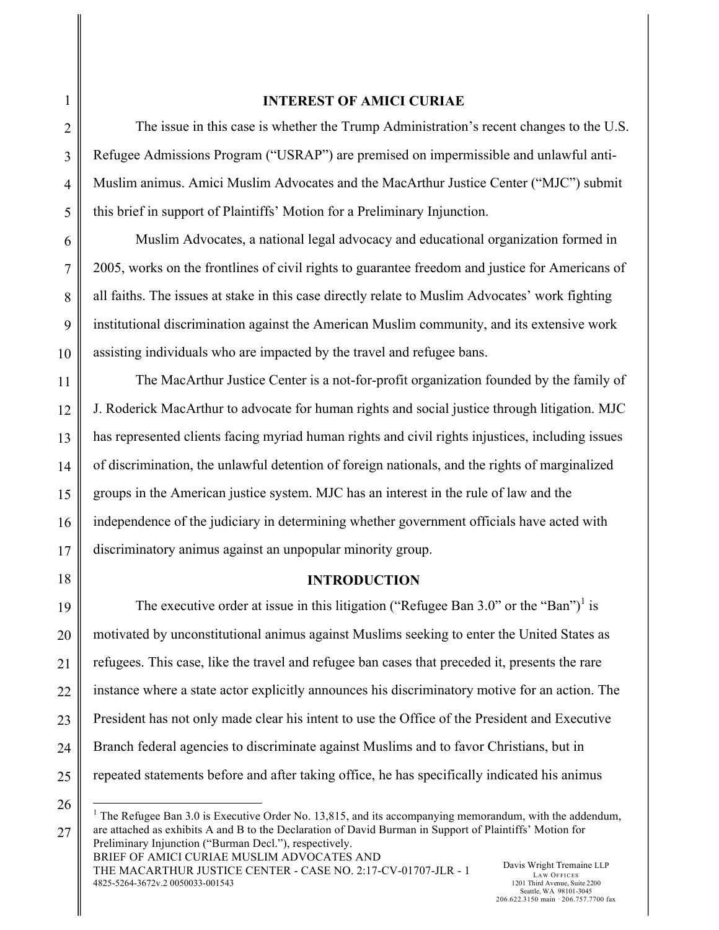#### **INTEREST OF AMICI CURIAE**

The issue in this case is whether the Trump Administration's recent changes to the U.S. Refugee Admissions Program ("USRAP") are premised on impermissible and unlawful anti-Muslim animus. Amici Muslim Advocates and the MacArthur Justice Center ("MJC") submit this brief in support of Plaintiffs' Motion for a Preliminary Injunction.

Muslim Advocates, a national legal advocacy and educational organization formed in 2005, works on the frontlines of civil rights to guarantee freedom and justice for Americans of all faiths. The issues at stake in this case directly relate to Muslim Advocates' work fighting institutional discrimination against the American Muslim community, and its extensive work assisting individuals who are impacted by the travel and refugee bans.

The MacArthur Justice Center is a not-for-profit organization founded by the family of J. Roderick MacArthur to advocate for human rights and social justice through litigation. MJC has represented clients facing myriad human rights and civil rights injustices, including issues of discrimination, the unlawful detention of foreign nationals, and the rights of marginalized groups in the American justice system. MJC has an interest in the rule of law and the independence of the judiciary in determining whether government officials have acted with discriminatory animus against an unpopular minority group.

# **INTRODUCTION**

The executive order at issue in this litigation ("Refugee Ban  $3.0$ " or the "Ban")<sup>1</sup> is motivated by unconstitutional animus against Muslims seeking to enter the United States as refugees. This case, like the travel and refugee ban cases that preceded it, presents the rare instance where a state actor explicitly announces his discriminatory motive for an action. The President has not only made clear his intent to use the Office of the President and Executive Branch federal agencies to discriminate against Muslims and to favor Christians, but in repeated statements before and after taking office, he has specifically indicated his animus

THE MACARTHUR JUSTICE CENTER - CASE NO. 2:17-CV-01707-JLR - 1 4825-5264-3672v.2 0050033-001543

BRIEF OF AMICI CURIAE MUSLIM ADVOCATES AND <sup>1</sup> The Refugee Ban 3.0 is Executive Order No. 13,815, and its accompanying memorandum, with the addendum, are attached as exhibits A and B to the Declaration of David Burman in Support of Plaintiffs' Motion for Preliminary Injunction ("Burman Decl."), respectively.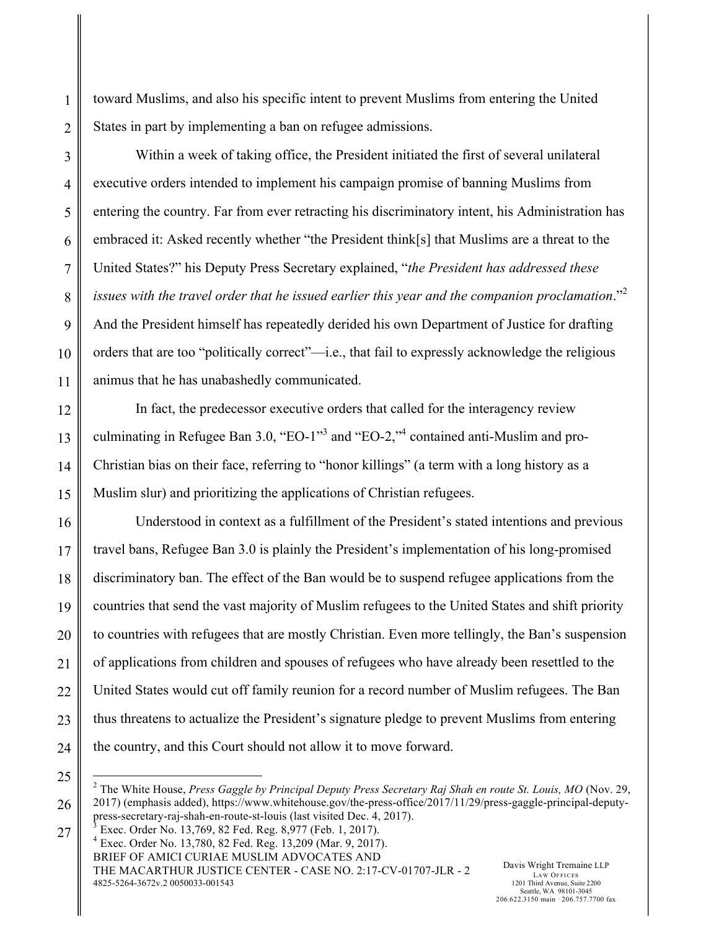toward Muslims, and also his specific intent to prevent Muslims from entering the United States in part by implementing a ban on refugee admissions.

2 3

4

1

Within a week of taking office, the President initiated the first of several unilateral executive orders intended to implement his campaign promise of banning Muslims from entering the country. Far from ever retracting his discriminatory intent, his Administration has embraced it: Asked recently whether "the President think[s] that Muslims are a threat to the United States?" his Deputy Press Secretary explained, "*the President has addressed these issues with the travel order that he issued earlier this year and the companion proclamation*."<sup>2</sup> And the President himself has repeatedly derided his own Department of Justice for drafting orders that are too "politically correct"—i.e., that fail to expressly acknowledge the religious animus that he has unabashedly communicated.

In fact, the predecessor executive orders that called for the interagency review culminating in Refugee Ban 3.0, "EO-1"3 and "EO-2,"4 contained anti-Muslim and pro-Christian bias on their face, referring to "honor killings" (a term with a long history as a Muslim slur) and prioritizing the applications of Christian refugees.

Understood in context as a fulfillment of the President's stated intentions and previous travel bans, Refugee Ban 3.0 is plainly the President's implementation of his long-promised discriminatory ban. The effect of the Ban would be to suspend refugee applications from the countries that send the vast majority of Muslim refugees to the United States and shift priority to countries with refugees that are mostly Christian. Even more tellingly, the Ban's suspension of applications from children and spouses of refugees who have already been resettled to the United States would cut off family reunion for a record number of Muslim refugees. The Ban thus threatens to actualize the President's signature pledge to prevent Muslims from entering the country, and this Court should not allow it to move forward.

 <sup>2</sup> The White House, *Press Gaggle by Principal Deputy Press Secretary Raj Shah en route St. Louis, MO* (Nov. 29, 2017) (emphasis added), https://www.whitehouse.gov/the-press-office/2017/11/29/press-gaggle-principal-deputypress-secretary-raj-shah-en-route-st-louis (last visited Dec. 4, 2017).<br><sup>3</sup> Exec. Order No. 13,769, 82 Fed. Reg. 8,977 (Feb. 1, 2017).

BRIEF OF AMICI CURIAE MUSLIM ADVOCATES AND THE MACARTHUR JUSTICE CENTER - CASE NO. 2:17-CV-01707-JLR - 2 4825-5264-3672v.2 0050033-001543 <sup>4</sup> Exec. Order No. 13,780, 82 Fed. Reg. 13,209 (Mar. 9, 2017).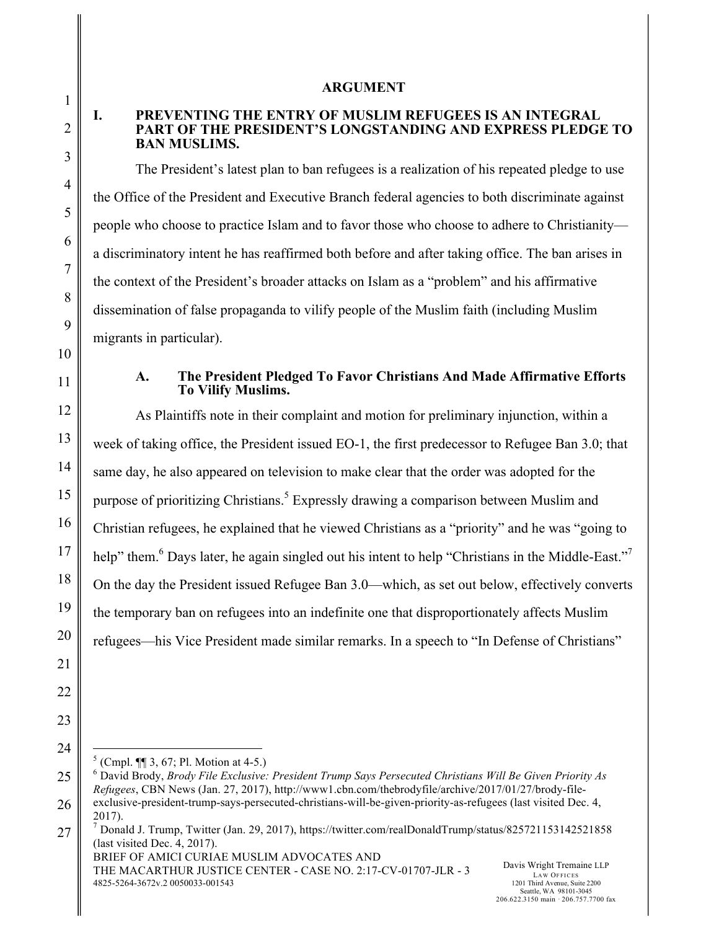#### **ARGUMENT**

#### **I. PREVENTING THE ENTRY OF MUSLIM REFUGEES IS AN INTEGRAL PART OF THE PRESIDENT'S LONGSTANDING AND EXPRESS PLEDGE TO BAN MUSLIMS.**

The President's latest plan to ban refugees is a realization of his repeated pledge to use the Office of the President and Executive Branch federal agencies to both discriminate against people who choose to practice Islam and to favor those who choose to adhere to Christianity a discriminatory intent he has reaffirmed both before and after taking office. The ban arises in the context of the President's broader attacks on Islam as a "problem" and his affirmative dissemination of false propaganda to vilify people of the Muslim faith (including Muslim migrants in particular).

#### **A. The President Pledged To Favor Christians And Made Affirmative Efforts To Vilify Muslims.**

As Plaintiffs note in their complaint and motion for preliminary injunction, within a week of taking office, the President issued EO-1, the first predecessor to Refugee Ban 3.0; that same day, he also appeared on television to make clear that the order was adopted for the purpose of prioritizing Christians.<sup>5</sup> Expressly drawing a comparison between Muslim and Christian refugees, he explained that he viewed Christians as a "priority" and he was "going to help" them.<sup>6</sup> Days later, he again singled out his intent to help "Christians in the Middle-East."<sup>7</sup> On the day the President issued Refugee Ban 3.0—which, as set out below, effectively converts the temporary ban on refugees into an indefinite one that disproportionately affects Muslim refugees—his Vice President made similar remarks. In a speech to "In Defense of Christians"

<sup>&</sup>lt;sup>5</sup> (Cmpl. ¶¶ 3, 67; Pl. Motion at 4-5.)<br><sup>6</sup> David Brody, *Brody File Exclusive: President Trump Says Persecuted Christians Will Be Given Priority As Refugees*, CBN News (Jan. 27, 2017), http://www1.cbn.com/thebrodyfile/archive/2017/01/27/brody-fileexclusive-president-trump-says-persecuted-christians-will-be-given-priority-as-refugees (last visited Dec. 4, 2017).

<sup>27</sup> BRIEF OF AMICI CURIAE MUSLIM ADVOCATES AND THE MACARTHUR JUSTICE CENTER - CASE NO. 2:17-CV-01707-JLR - 3 4825-5264-3672v.2 0050033-001543 Davis Wright Tremaine LLP LAW OFFICES <sup>7</sup> Donald J. Trump, Twitter (Jan. 29, 2017), https://twitter.com/realDonaldTrump/status/825721153142521858 (last visited Dec. 4, 2017).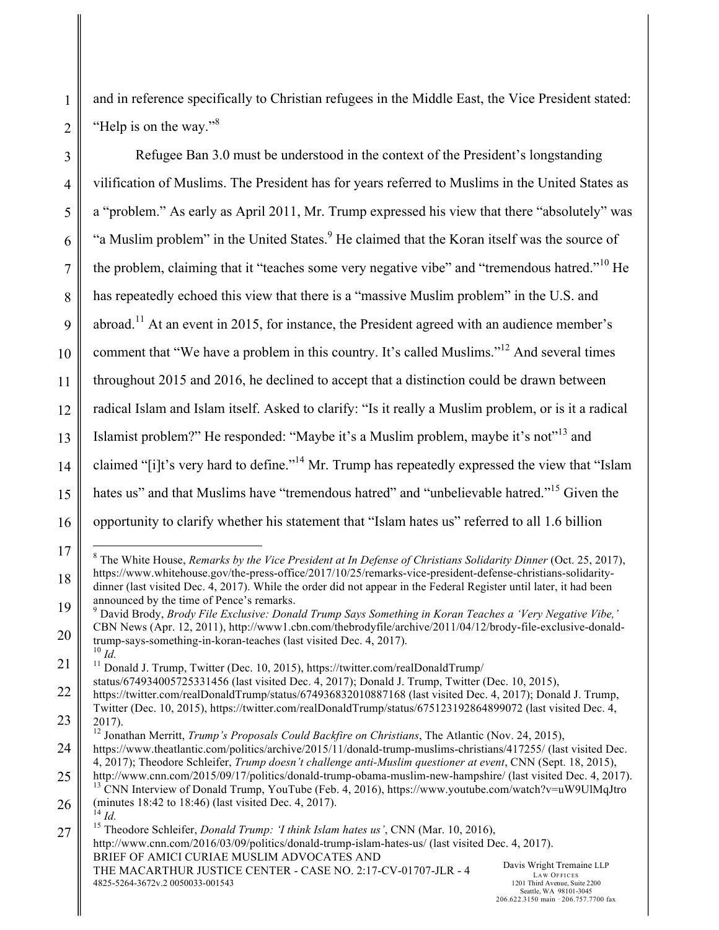and in reference specifically to Christian refugees in the Middle East, the Vice President stated: "Help is on the way."<sup>8</sup>

3 4 5 6 7 8 9 10 11 12 13 14 15 16 Refugee Ban 3.0 must be understood in the context of the President's longstanding vilification of Muslims. The President has for years referred to Muslims in the United States as a "problem." As early as April 2011, Mr. Trump expressed his view that there "absolutely" was "a Muslim problem" in the United States.<sup>9</sup> He claimed that the Koran itself was the source of the problem, claiming that it "teaches some very negative vibe" and "tremendous hatred."<sup>10</sup> He has repeatedly echoed this view that there is a "massive Muslim problem" in the U.S. and abroad.<sup>11</sup> At an event in 2015, for instance, the President agreed with an audience member's comment that "We have a problem in this country. It's called Muslims."12 And several times throughout 2015 and 2016, he declined to accept that a distinction could be drawn between radical Islam and Islam itself. Asked to clarify: "Is it really a Muslim problem, or is it a radical Islamist problem?" He responded: "Maybe it's a Muslim problem, maybe it's not"<sup>13</sup> and claimed "[i]t's very hard to define."14 Mr. Trump has repeatedly expressed the view that "Islam hates us" and that Muslims have "tremendous hatred" and "unbelievable hatred."<sup>15</sup> Given the opportunity to clarify whether his statement that "Islam hates us" referred to all 1.6 billion

21

1

2

to Id.<br><sup>11</sup> Donald J. Trump, Twitter (Dec. 10, 2015), https://twitter.com/realDonaldTrump/ status/674934005725331456 (last visited Dec. 4, 2017); Donald J. Trump, Twitter (Dec. 10, 2015),

<sup>17</sup> 18 8 The White House, *Remarks by the Vice President at In Defense of Christians Solidarity Dinner* (Oct. 25, 2017), https://www.whitehouse.gov/the-press-office/2017/10/25/remarks-vice-president-defense-christians-solidarity-

<sup>19</sup> dinner (last visited Dec. 4, 2017). While the order did not appear in the Federal Register until later, it had been<br>announced by the time of Pence's remarks.

<sup>20</sup> <sup>9</sup> David Brody, *Brody File Exclusive: Donald Trump Says Something in Koran Teaches a 'Very Negative Vibe,'* CBN News (Apr. 12, 2011), http://www1.cbn.com/thebrodyfile/archive/2011/04/12/brody-file-exclusive-donald-<br>trump-says-something-in-koran-teaches (last visited Dec. 4, 2017).

<sup>22</sup> 23 https://twitter.com/realDonaldTrump/status/674936832010887168 (last visited Dec. 4, 2017); Donald J. Trump, Twitter (Dec. 10, 2015), https://twitter.com/realDonaldTrump/status/675123192864899072 (last visited Dec. 4, 2017).

<sup>24</sup> <sup>12</sup> Jonathan Merritt, *Trump's Proposals Could Backfire on Christians*, The Atlantic (Nov. 24, 2015), https://www.theatlantic.com/politics/archive/2015/11/donald-trump-muslims-christians/417255/ (last visited Dec. 4, 2017); Theodore Schleifer, *Trump doesn't challenge anti-Muslim questioner at event*, CNN (Sept. 18, 2015),

<sup>25</sup> http://www.cnn.com/2015/09/17/politics/donald-trump-obama-muslim-new-hampshire/ (last visited Dec. 4, 2017).<br><sup>13</sup> CNN Interview of Donald Trump, YouTube (Feb. 4, 2016), https://www.youtube.com/watch?v=uW9UlMqJtro

<sup>26</sup> (minutes 18:42 to 18:46) (last visited Dec. 4, 2017).

<sup>27</sup> BRIEF OF AMICI CURIAE MUSLIM ADVOCATES AND THE MACARTHUR JUSTICE CENTER - CASE NO. 2:17-CV-01707-JLR - 4 4825-5264-3672v.2 0050033-001543 <sup>15</sup> Theodore Schleifer, *Donald Trump: 'I think Islam hates us'*, CNN (Mar. 10, 2016), http://www.cnn.com/2016/03/09/politics/donald-trump-islam-hates-us/ (last visited Dec. 4, 2017).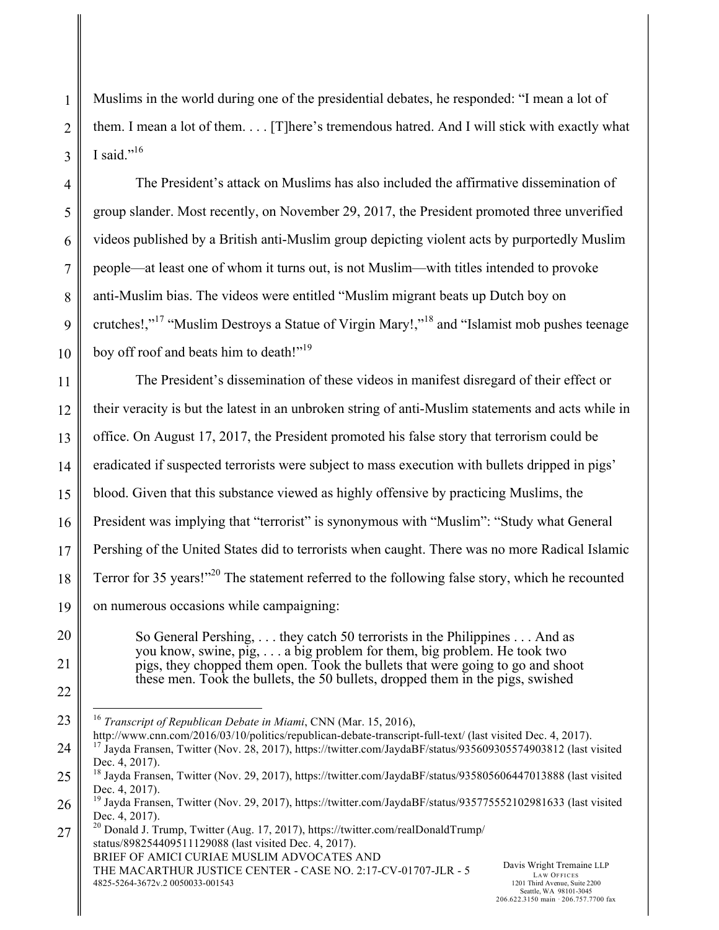Muslims in the world during one of the presidential debates, he responded: "I mean a lot of them. I mean a lot of them. . . . [T]here's tremendous hatred. And I will stick with exactly what I said $^{10}$ 

The President's attack on Muslims has also included the affirmative dissemination of group slander. Most recently, on November 29, 2017, the President promoted three unverified videos published by a British anti-Muslim group depicting violent acts by purportedly Muslim people—at least one of whom it turns out, is not Muslim—with titles intended to provoke anti-Muslim bias. The videos were entitled "Muslim migrant beats up Dutch boy on crutches!,"<sup>17</sup> "Muslim Destroys a Statue of Virgin Mary!,"<sup>18</sup> and "Islamist mob pushes teenage boy off roof and beats him to death!"<sup>19</sup>

11 12 13 14 15 16 17 18 19 The President's dissemination of these videos in manifest disregard of their effect or their veracity is but the latest in an unbroken string of anti-Muslim statements and acts while in office. On August 17, 2017, the President promoted his false story that terrorism could be eradicated if suspected terrorists were subject to mass execution with bullets dripped in pigs' blood. Given that this substance viewed as highly offensive by practicing Muslims, the President was implying that "terrorist" is synonymous with "Muslim": "Study what General Pershing of the United States did to terrorists when caught. There was no more Radical Islamic Terror for 35 years!"<sup>20</sup> The statement referred to the following false story, which he recounted on numerous occasions while campaigning:

> So General Pershing, . . . they catch 50 terrorists in the Philippines . . . And as you know, swine, pig, . . . a big problem for them, big problem. He took two pigs, they chopped them open. Took the bullets that were going to go and shoot these men. Took the bullets, the 50 bullets, dropped them in the pigs, swished

20 21

1

2

3

4

5

6

7

8

9

10

22

23

<sup>&</sup>lt;sup>16</sup> *Transcript of Republican Debate in Miami*, CNN (Mar. 15, 2016),<br>http://www.cnn.com/2016/03/10/politics/republican-debate-transcript-full-text/ (last visited Dec. 4, 2017).

<sup>24</sup> <sup>17</sup> Jayda Fransen, Twitter (Nov. 28, 2017), https://twitter.com/JaydaBF/status/935609305574903812 (last visited Dec. 4, 2017).

<sup>25</sup> <sup>18</sup> Jayda Fransen, Twitter (Nov. 29, 2017), https://twitter.com/JaydaBF/status/935805606447013888 (last visited Dec. 4, 2017).

<sup>26</sup> <sup>19</sup> Jayda Fransen, Twitter (Nov. 29, 2017), https://twitter.com/JaydaBF/status/935775552102981633 (last visited Dec. 4, 2017).

<sup>27</sup> BRIEF OF AMICI CURIAE MUSLIM ADVOCATES AND THE MACARTHUR JUSTICE CENTER - CASE NO. 2:17-CV-01707-JLR - 5 4825-5264-3672v.2 0050033-001543  $^{20}$  Donald J. Trump, Twitter (Aug. 17, 2017), https://twitter.com/realDonaldTrump/ status/898254409511129088 (last visited Dec. 4, 2017).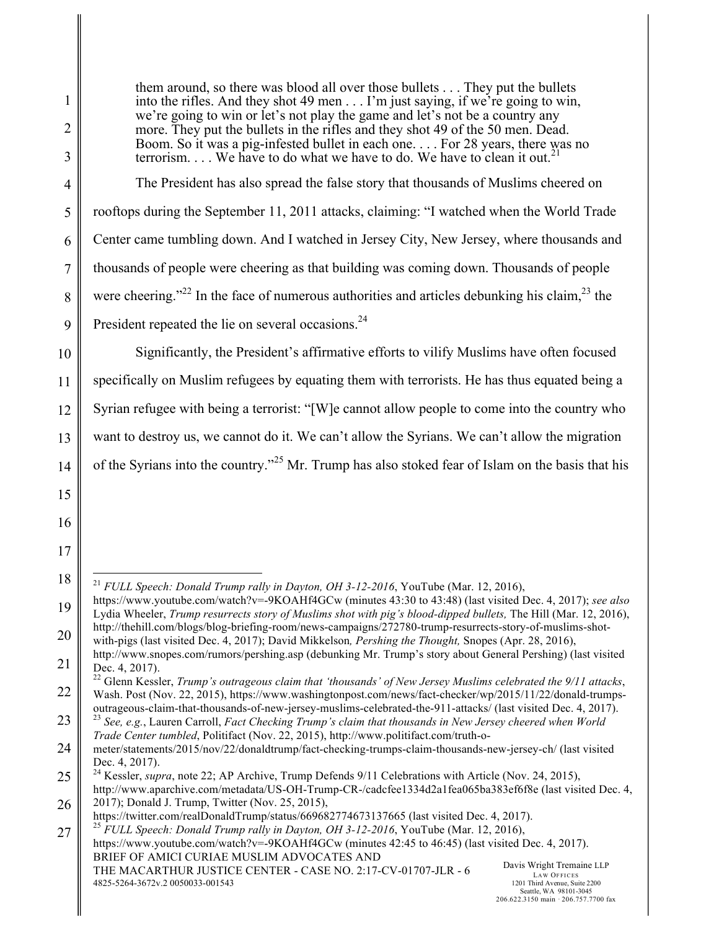them around, so there was blood all over those bullets . . . They put the bullets into the rifles. And they shot 49 men . . . I'm just saying, if we're going to win, we're going to win or let's not play the game and let's not be a country any more. They put the bullets in the rifles and they shot 49 of the 50 men. Dead. Boom. So it was a pig-infested bullet in each one. . . . For 28 years, there was no terrorism.  $\ldots$  We have to do what we have to do. We have to clean it out.<sup>21</sup>

The President has also spread the false story that thousands of Muslims cheered on rooftops during the September 11, 2011 attacks, claiming: "I watched when the World Trade Center came tumbling down. And I watched in Jersey City, New Jersey, where thousands and thousands of people were cheering as that building was coming down. Thousands of people were cheering."<sup>22</sup> In the face of numerous authorities and articles debunking his claim,<sup>23</sup> the President repeated the lie on several occasions.<sup>24</sup>

Significantly, the President's affirmative efforts to vilify Muslims have often focused specifically on Muslim refugees by equating them with terrorists. He has thus equated being a Syrian refugee with being a terrorist: "[W]e cannot allow people to come into the country who want to destroy us, we cannot do it. We can't allow the Syrians. We can't allow the migration of the Syrians into the country."<sup>25</sup> Mr. Trump has also stoked fear of Islam on the basis that his

 <sup>21</sup> *FULL Speech: Donald Trump rally in Dayton, OH 3-12-2016*, YouTube (Mar. 12, 2016),

https://www.youtube.com/watch?v=-9KOAHf4GCw (minutes 43:30 to 43:48) (last visited Dec. 4, 2017); *see also*  Lydia Wheeler, *Trump resurrects story of Muslims shot with pig's blood-dipped bullets,* The Hill (Mar. 12, 2016), http://thehill.com/blogs/blog-briefing-room/news-campaigns/272780-trump-resurrects-story-of-muslims-shotwith-pigs (last visited Dec. 4, 2017); David Mikkelson*, Pershing the Thought,* Snopes (Apr. 28, 2016),

<sup>21</sup> http://www.snopes.com/rumors/pershing.asp (debunking Mr. Trump's story about General Pershing) (last visited Dec. 4, 2017).

<sup>22</sup> Glenn Kessler, *Trump's outrageous claim that 'thousands' of New Jersey Muslims celebrated the 9/11 attacks*, Wash. Post (Nov. 22, 2015), https://www.washingtonpost.com/news/fact-checker/wp/2015/11/22/donald-trumps-

outrageous-claim-that-thousands-of-new-jersey-muslims-celebrated-the-911-attacks/ (last visited Dec. 4, 2017).<br><sup>23</sup> See, e.g., Lauren Carroll, *Fact Checking Trump's claim that thousands in New Jersey cheered when World Trade Center tumbled*, Politifact (Nov. 22, 2015), http://www.politifact.com/truth-o-

<sup>24</sup> meter/statements/2015/nov/22/donaldtrump/fact-checking-trumps-claim-thousands-new-jersey-ch/ (last visited Dec. 4, 2017).

<sup>25</sup> <sup>24</sup> Kessler, *supra*, note 22; AP Archive, Trump Defends 9/11 Celebrations with Article (Nov. 24, 2015), http://www.aparchive.com/metadata/US-OH-Trump-CR-/cadcfee1334d2a1fea065ba383ef6f8e (last visited Dec. 4,

<sup>2017);</sup> Donald J. Trump, Twitter (Nov. 25, 2015), https://twitter.com/realDonaldTrump/status/669682774673137665 (last visited Dec. 4, 2017).

BRIEF OF AMICI CURIAE MUSLIM ADVOCATES AND THE MACARTHUR JUSTICE CENTER - CASE NO. 2:17-CV-01707-JLR - 6 4825-5264-3672v.2 0050033-001543 LAW OFFICES <sup>25</sup> *FULL Speech: Donald Trump rally in Dayton, OH 3-12-2016*, YouTube (Mar. 12, 2016), https://www.youtube.com/watch?v=-9KOAHf4GCw (minutes 42:45 to 46:45) (last visited Dec. 4, 2017).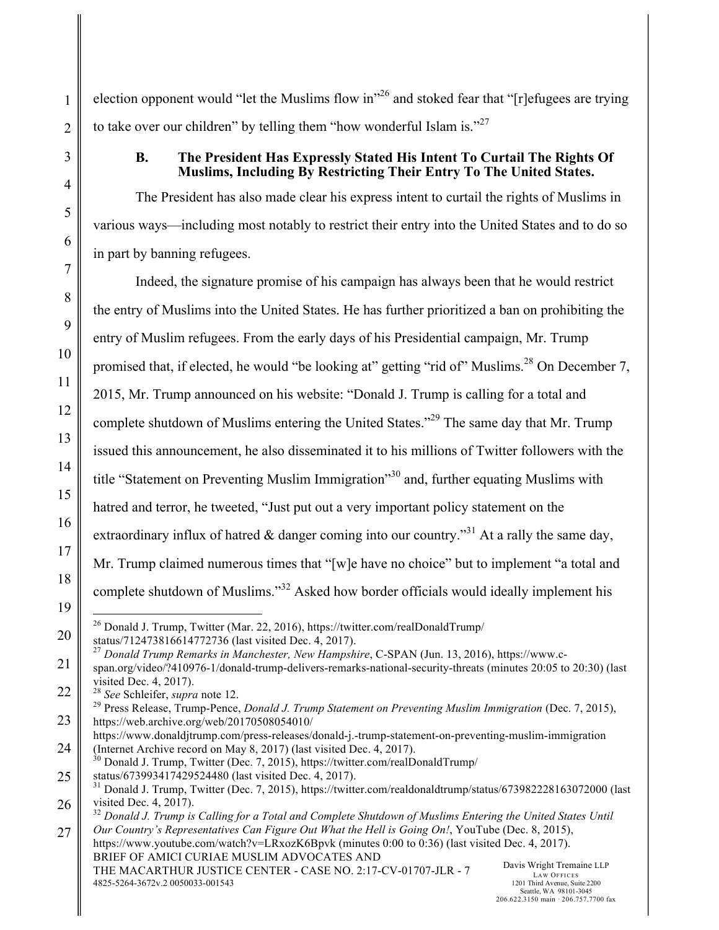election opponent would "let the Muslims flow in"<sup>26</sup> and stoked fear that "[r]efugees are trying to take over our children" by telling them "how wonderful Islam is."<sup>27</sup>

# **B. The President Has Expressly Stated His Intent To Curtail The Rights Of Muslims, Including By Restricting Their Entry To The United States.**

The President has also made clear his express intent to curtail the rights of Muslims in various ways—including most notably to restrict their entry into the United States and to do so in part by banning refugees.

Indeed, the signature promise of his campaign has always been that he would restrict the entry of Muslims into the United States. He has further prioritized a ban on prohibiting the entry of Muslim refugees. From the early days of his Presidential campaign, Mr. Trump promised that, if elected, he would "be looking at" getting "rid of" Muslims.<sup>28</sup> On December 7, 2015, Mr. Trump announced on his website: "Donald J. Trump is calling for a total and complete shutdown of Muslims entering the United States."<sup>29</sup> The same day that Mr. Trump issued this announcement, he also disseminated it to his millions of Twitter followers with the title "Statement on Preventing Muslim Immigration"<sup>30</sup> and, further equating Muslims with hatred and terror, he tweeted, "Just put out a very important policy statement on the extraordinary influx of hatred  $\&$  danger coming into our country.<sup>31</sup> At a rally the same day, Mr. Trump claimed numerous times that "[w]e have no choice" but to implement "a total and complete shutdown of Muslims."<sup>32</sup> Asked how border officials would ideally implement his 26 Donald J. Trump, Twitter (Mar. 22, 2016), https://twitter.com/realDonaldTrump/ status/712473816614772736 (last visited Dec. 4, 2017). <sup>27</sup> *Donald Trump Remarks in Manchester, New Hampshire*, C-SPAN (Jun. 13, 2016), https://www.cspan.org/video/?410976-1/donald-trump-delivers-remarks-national-security-threats (minutes 20:05 to 20:30) (last visited Dec. 4, 2017).<br><sup>28</sup> See Schleifer, *supra* note 12.

1201 Third Avenue, Suite 2200 Seattle, WA 98101-3045 206.622.3150 main · 206.757.7700 fax

BRIEF OF AMICI CURIAE MUSLIM ADVOCATES AND THE MACARTHUR JUSTICE CENTER - CASE NO. 2:17-CV-01707-JLR - 7 4825-5264-3672v.2 0050033-001543 Davis Wright Tremaine LLP LAW OFFICES *Our Country's Representatives Can Figure Out What the Hell is Going On!*, YouTube (Dec. 8, 2015), https://www.youtube.com/watch?v=LRxozK6Bpvk (minutes 0:00 to 0:36) (last visited Dec. 4, 2017).

<sup>&</sup>lt;sup>29</sup> Press Release, Trump-Pence, *Donald J. Trump Statement on Preventing Muslim Immigration* (Dec. 7, 2015), https://web.archive.org/web/20170508054010/

https://www.donaldjtrump.com/press-releases/donald-j.-trump-statement-on-preventing-muslim-immigration (Internet Archive record on May 8, 2017) (last visited Dec. 4, 2017).

 $30$  Donald J. Trump, Twitter (Dec. 7, 2015), https://twitter.com/realDonaldTrump/ status/673993417429524480 (last visited Dec. 4, 2017). <sup>31</sup> Donald J. Trump, Twitter (Dec. 7, 2015), https://twitter.com/realdonaldtrump/status/673982228163072000 (last visited Dec. 4, 2017).<br><sup>32</sup> *Donald J. Trump is Calling for a Total and Complete Shutdown of Muslims Entering the United States Until*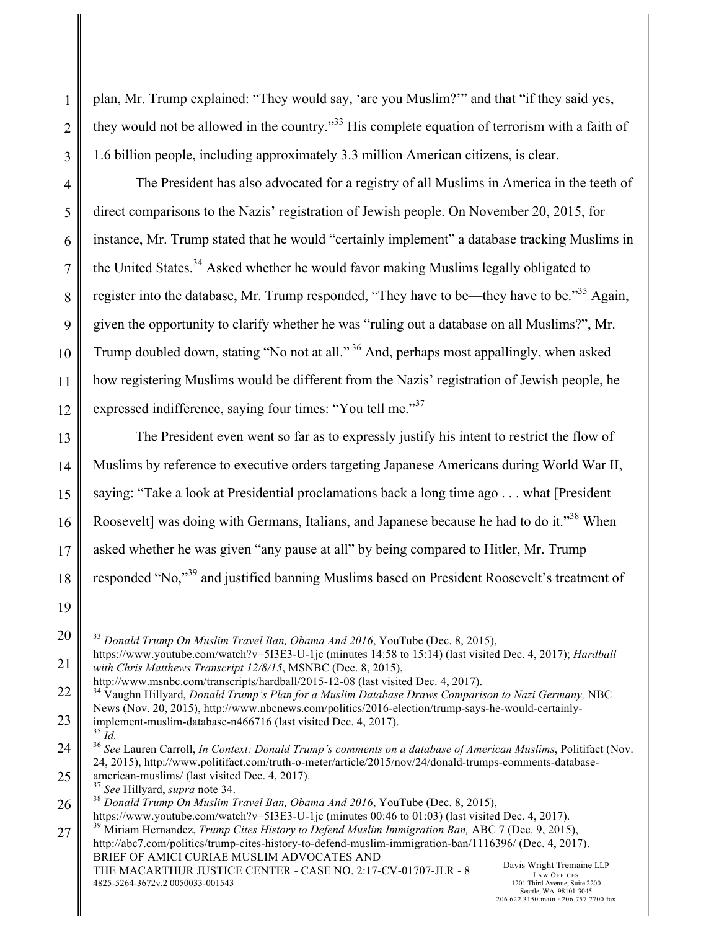1

2

3

plan, Mr. Trump explained: "They would say, 'are you Muslim?'" and that "if they said yes, they would not be allowed in the country."33 His complete equation of terrorism with a faith of 1.6 billion people, including approximately 3.3 million American citizens, is clear.

The President has also advocated for a registry of all Muslims in America in the teeth of direct comparisons to the Nazis' registration of Jewish people. On November 20, 2015, for instance, Mr. Trump stated that he would "certainly implement" a database tracking Muslims in the United States.<sup>34</sup> Asked whether he would favor making Muslims legally obligated to register into the database, Mr. Trump responded, "They have to be—they have to be."<sup>35</sup> Again, given the opportunity to clarify whether he was "ruling out a database on all Muslims?", Mr. Trump doubled down, stating "No not at all." <sup>36</sup> And, perhaps most appallingly, when asked how registering Muslims would be different from the Nazis' registration of Jewish people, he expressed indifference, saying four times: "You tell me."<sup>37</sup>

The President even went so far as to expressly justify his intent to restrict the flow of Muslims by reference to executive orders targeting Japanese Americans during World War II, saying: "Take a look at Presidential proclamations back a long time ago . . . what [President Roosevelt] was doing with Germans, Italians, and Japanese because he had to do it."<sup>38</sup> When asked whether he was given "any pause at all" by being compared to Hitler, Mr. Trump responded "No,"<sup>39</sup> and justified banning Muslims based on President Roosevelt's treatment of

- implement-muslim-database-n466716 (last visited Dec. 4, 2017).<br><sup>35</sup> *Id.* 36 *See Lauren Carroll, <i>In Context: Donald Trump's comments on a database of American Muslims*, Politifact (Nov.
- 24, 2015), http://www.politifact.com/truth-o-meter/article/2015/nov/24/donald-trumps-comments-database-

 <sup>33</sup> *Donald Trump On Muslim Travel Ban, Obama And 2016*, YouTube (Dec. 8, 2015), https://www.youtube.com/watch?v=5I3E3-U-1jc (minutes 14:58 to 15:14) (last visited Dec. 4, 2017); *Hardball* 

with Chris Matthews Transcript 12/8/15, MSNBC (Dec. 8, 2015),<br>http://www.msnbc.com/transcripts/hardball/2015-12-08 (last visited Dec. 4, 2017). <sup>34</sup> Vaughn Hillyard, *Donald Trump's Plan for a Muslim Database Draws Comparison to Nazi Germany,* NBC News (Nov. 20, 2015), http://www.nbcnews.com/politics/2016-election/trump-says-he-would-certainly-

american-muslims/ (last visited Dec. 4, 2017).<br><sup>37</sup> *See* Hillyard, *supra* note 34.<br><sup>38</sup> *Donald Trump On Muslim Travel Ban, Obama And 2016*, YouTube (Dec. 8, 2015). https://www.youtube.com/watch?v=5I3E3-U-1jc (minutes 00:46 to 01:03) (last visited Dec. 4, 2017). 39 Miriam Hernandez, *Trump Cites History to Defend Muslim Immigration Ban,* ABC 7 (Dec. 9, 2015),

BRIEF OF AMICI CURIAE MUSLIM ADVOCATES AND THE MACARTHUR JUSTICE CENTER - CASE NO. 2:17-CV-01707-JLR - 8 4825-5264-3672v.2 0050033-001543 Davis Wright Tremaine LLP LAW OFFICES http://abc7.com/politics/trump-cites-history-to-defend-muslim-immigration-ban/1116396/ (Dec. 4, 2017).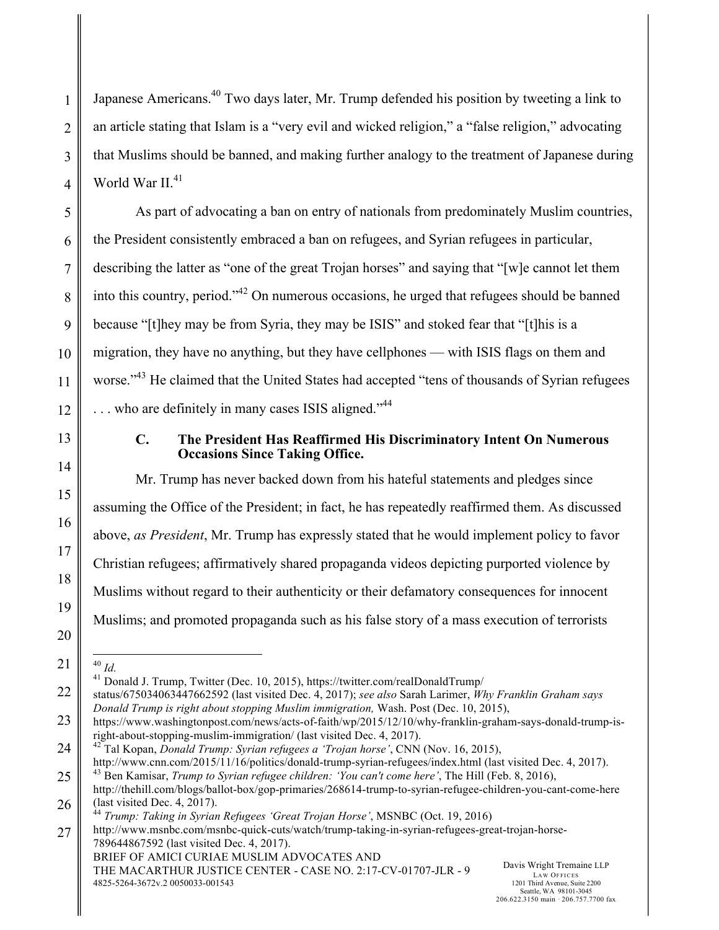Japanese Americans.<sup>40</sup> Two days later, Mr. Trump defended his position by tweeting a link to an article stating that Islam is a "very evil and wicked religion," a "false religion," advocating that Muslims should be banned, and making further analogy to the treatment of Japanese during World War II $41$ 

As part of advocating a ban on entry of nationals from predominately Muslim countries, the President consistently embraced a ban on refugees, and Syrian refugees in particular, describing the latter as "one of the great Trojan horses" and saying that "[w]e cannot let them into this country, period."<sup>42</sup> On numerous occasions, he urged that refugees should be banned because "[t]hey may be from Syria, they may be ISIS" and stoked fear that "[t]his is a migration, they have no anything, but they have cellphones — with ISIS flags on them and worse."<sup>43</sup> He claimed that the United States had accepted "tens of thousands of Syrian refugees ... who are definitely in many cases ISIS aligned."<sup>44</sup>

#### **C. The President Has Reaffirmed His Discriminatory Intent On Numerous Occasions Since Taking Office.**

Mr. Trump has never backed down from his hateful statements and pledges since assuming the Office of the President; in fact, he has repeatedly reaffirmed them. As discussed above, *as President*, Mr. Trump has expressly stated that he would implement policy to favor Christian refugees; affirmatively shared propaganda videos depicting purported violence by Muslims without regard to their authenticity or their defamatory consequences for innocent Muslims; and promoted propaganda such as his false story of a mass execution of terrorists

1

2

<sup>40</sup> *Id.* <sup>41</sup> Donald J. Trump, Twitter (Dec. 10, 2015), https://twitter.com/realDonaldTrump/ status/675034063447662592 (last visited Dec. 4, 2017); *see also* Sarah Larimer, *Why Franklin Graham says Donald Trump is right about stopping Muslim immigration,* Wash. Post (Dec. 10, 2015),

https://www.washingtonpost.com/news/acts-of-faith/wp/2015/12/10/why-franklin-graham-says-donald-trump-is-

right-about-stopping-muslim-immigration/ (last visited Dec. 4, 2017).<br><sup>42</sup> Tal Kopan, *Donald Trump: Syrian refugees a 'Trojan horse'*, CNN (Nov. 16, 2015),<br>http://www.cnn.com/2015/11/16/politics/donald-trump-syrian-refuge <sup>43</sup> Ben Kamisar, *Trump to Syrian refugee children: 'You can't come here'*, The Hill (Feb. 8, 2016),

http://thehill.com/blogs/ballot-box/gop-primaries/268614-trump-to-syrian-refugee-children-you-cant-come-here

<sup>(</sup>last visited Dec. 4, 2017). <sup>44</sup> *Trump: Taking in Syrian Refugees 'Great Trojan Horse'*, MSNBC (Oct. 19, 2016) http://www.msnbc.com/msnbc-quick-cuts/watch/trump-taking-in-syrian-refugees-great-trojan-horse-789644867592 (last visited Dec. 4, 2017).

BRIEF OF AMICI CURIAE MUSLIM ADVOCATES AND THE MACARTHUR JUSTICE CENTER - CASE NO. 2:17-CV-01707-JLR - 9 4825-5264-3672v.2 0050033-001543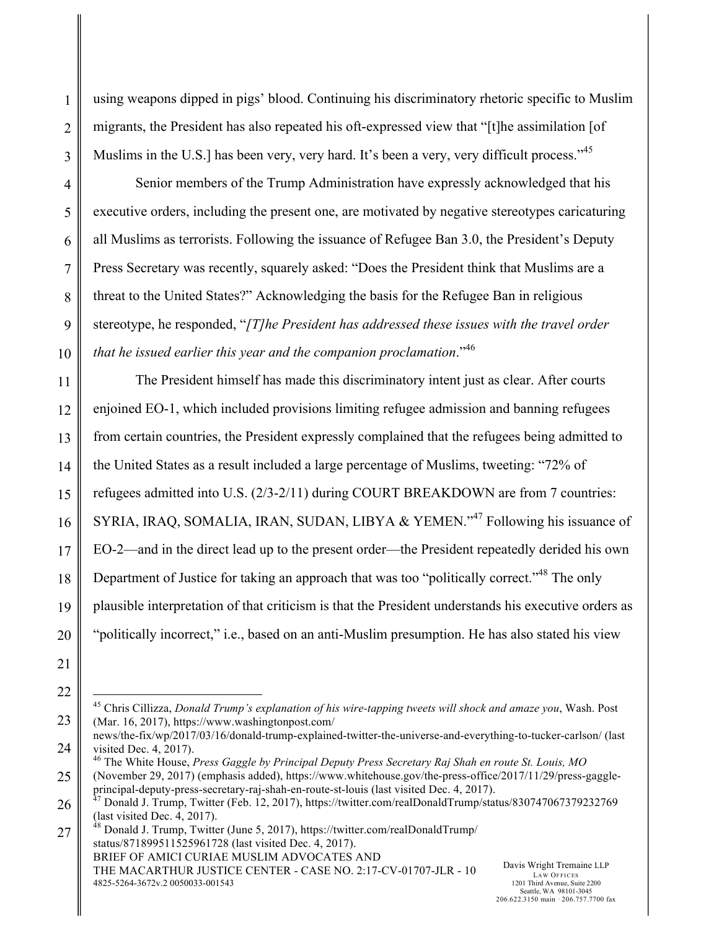1

2

using weapons dipped in pigs' blood. Continuing his discriminatory rhetoric specific to Muslim migrants, the President has also repeated his oft-expressed view that "[t]he assimilation [of Muslims in the U.S.] has been very, very hard. It's been a very, very difficult process."<sup>45</sup>

Senior members of the Trump Administration have expressly acknowledged that his executive orders, including the present one, are motivated by negative stereotypes caricaturing all Muslims as terrorists. Following the issuance of Refugee Ban 3.0, the President's Deputy Press Secretary was recently, squarely asked: "Does the President think that Muslims are a threat to the United States?" Acknowledging the basis for the Refugee Ban in religious stereotype, he responded, "*[T]he President has addressed these issues with the travel order that he issued earlier this year and the companion proclamation*."46

The President himself has made this discriminatory intent just as clear. After courts enjoined EO-1, which included provisions limiting refugee admission and banning refugees from certain countries, the President expressly complained that the refugees being admitted to the United States as a result included a large percentage of Muslims, tweeting: "72% of refugees admitted into U.S. (2/3-2/11) during COURT BREAKDOWN are from 7 countries: SYRIA, IRAQ, SOMALIA, IRAN, SUDAN, LIBYA & YEMEN."<sup>47</sup> Following his issuance of EO-2—and in the direct lead up to the present order—the President repeatedly derided his own Department of Justice for taking an approach that was too "politically correct."<sup>48</sup> The only plausible interpretation of that criticism is that the President understands his executive orders as "politically incorrect," i.e., based on an anti-Muslim presumption. He has also stated his view

 <sup>45</sup> Chris Cillizza, *Donald Trump's explanation of his wire-tapping tweets will shock and amaze you*, Wash. Post (Mar. 16, 2017), https://www.washingtonpost.com/

news/the-fix/wp/2017/03/16/donald-trump-explained-twitter-the-universe-and-everything-to-tucker-carlson/ (last visited Dec. 4, 2017).<br><sup>46</sup> The White House, *Press Gaggle by Principal Deputy Press Secretary Raj Shah en route St. Louis, MO* 

<sup>(</sup>November 29, 2017) (emphasis added), https://www.whitehouse.gov/the-press-office/2017/11/29/press-gaggle-

principal-deputy-press-secretary-raj-shah-en-route-st-louis (last visited Dec. 4, 2017).<br><sup>47</sup> Donald J. Trump, Twitter (Feb. 12, 2017), https://twitter.com/realDonaldTrump/status/830747067379232769 (last visited Dec. 4, 2017).

BRIEF OF AMICI CURIAE MUSLIM ADVOCATES AND THE MACARTHUR JUSTICE CENTER - CASE NO. 2:17-CV-01707-JLR - 10 4825-5264-3672v.2 0050033-001543 <sup>48</sup> Donald J. Trump, Twitter (June 5, 2017), https://twitter.com/realDonaldTrump/ status/871899511525961728 (last visited Dec. 4, 2017).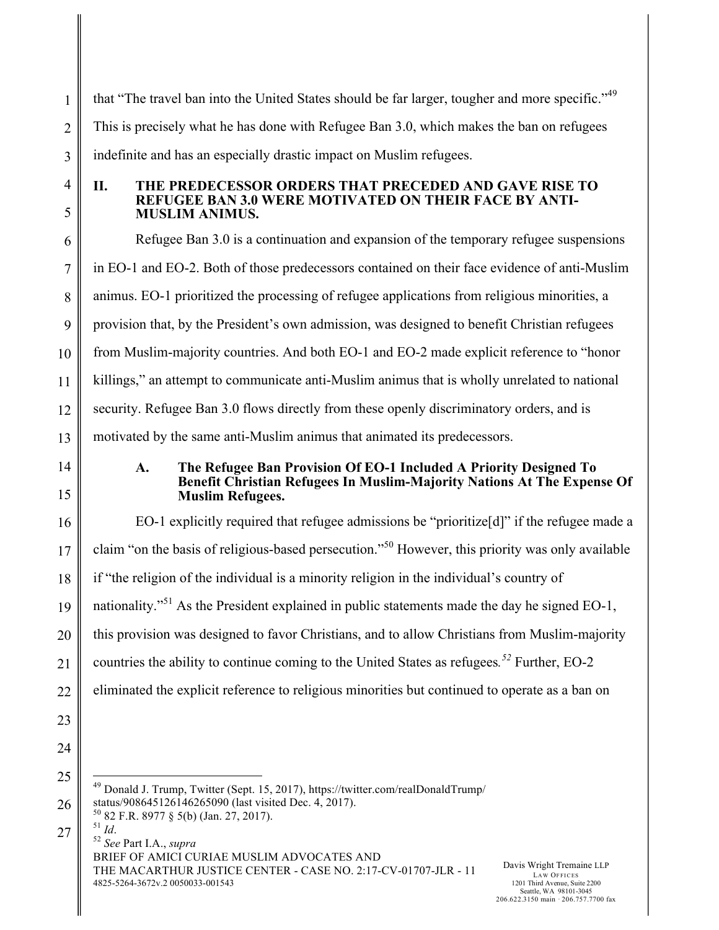that "The travel ban into the United States should be far larger, tougher and more specific."<sup>49</sup> This is precisely what he has done with Refugee Ban 3.0, which makes the ban on refugees indefinite and has an especially drastic impact on Muslim refugees.

4 5

6

7

8

9

10

11

12

13

1

2

3

# **II. THE PREDECESSOR ORDERS THAT PRECEDED AND GAVE RISE TO REFUGEE BAN 3.0 WERE MOTIVATED ON THEIR FACE BY ANTI- MUSLIM ANIMUS.**

Refugee Ban 3.0 is a continuation and expansion of the temporary refugee suspensions in EO-1 and EO-2. Both of those predecessors contained on their face evidence of anti-Muslim animus. EO-1 prioritized the processing of refugee applications from religious minorities, a provision that, by the President's own admission, was designed to benefit Christian refugees from Muslim-majority countries. And both EO-1 and EO-2 made explicit reference to "honor killings," an attempt to communicate anti-Muslim animus that is wholly unrelated to national security. Refugee Ban 3.0 flows directly from these openly discriminatory orders, and is motivated by the same anti-Muslim animus that animated its predecessors.

14 15

16

17

18

19

20

21

22

23

24

#### **A. The Refugee Ban Provision Of EO-1 Included A Priority Designed To Benefit Christian Refugees In Muslim-Majority Nations At The Expense Of Muslim Refugees.**

EO-1 explicitly required that refugee admissions be "prioritize[d]" if the refugee made a claim "on the basis of religious-based persecution."<sup>50</sup> However, this priority was only available if "the religion of the individual is a minority religion in the individual's country of nationality."<sup>51</sup> As the President explained in public statements made the day he signed EO-1, this provision was designed to favor Christians, and to allow Christians from Muslim-majority countries the ability to continue coming to the United States as refugees*. <sup>52</sup>* Further, EO-2 eliminated the explicit reference to religious minorities but continued to operate as a ban on

25

26

27

BRIEF OF AMICI CURIAE MUSLIM ADVOCATES AND THE MACARTHUR JUSTICE CENTER - CASE NO. 2:17-CV-01707-JLR - 11 4825-5264-3672v.2 0050033-001543 49 Donald J. Trump, Twitter (Sept. 15, 2017), https://twitter.com/realDonaldTrump/ status/908645126146265090 (last visited Dec. 4, 2017). <sup>50</sup> 82 F.R. 8977 § 5(b) (Jan. 27, 2017). 51 *Id*. <sup>52</sup> *See* Part I.A., *supra*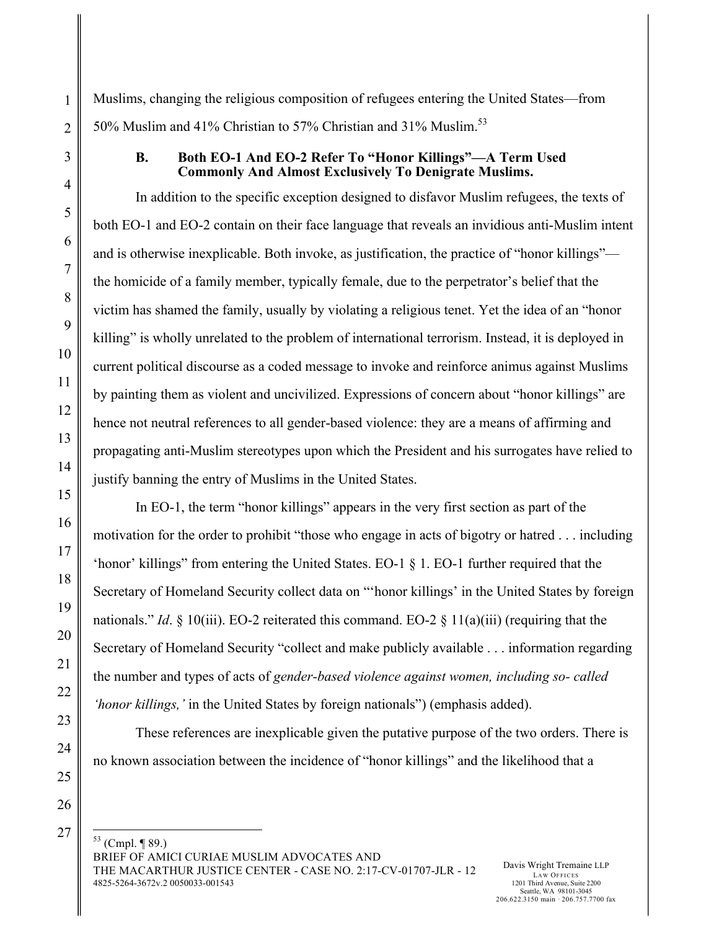Muslims, changing the religious composition of refugees entering the United States—from 50% Muslim and 41% Christian to 57% Christian and 31% Muslim.<sup>53</sup>

## **B. Both EO-1 And EO-2 Refer To "Honor Killings"—A Term Used Commonly And Almost Exclusively To Denigrate Muslims.**

In addition to the specific exception designed to disfavor Muslim refugees, the texts of both EO-1 and EO-2 contain on their face language that reveals an invidious anti-Muslim intent and is otherwise inexplicable. Both invoke, as justification, the practice of "honor killings" the homicide of a family member, typically female, due to the perpetrator's belief that the victim has shamed the family, usually by violating a religious tenet. Yet the idea of an "honor killing" is wholly unrelated to the problem of international terrorism. Instead, it is deployed in current political discourse as a coded message to invoke and reinforce animus against Muslims by painting them as violent and uncivilized. Expressions of concern about "honor killings" are hence not neutral references to all gender-based violence: they are a means of affirming and propagating anti-Muslim stereotypes upon which the President and his surrogates have relied to justify banning the entry of Muslims in the United States.

In EO-1, the term "honor killings" appears in the very first section as part of the motivation for the order to prohibit "those who engage in acts of bigotry or hatred . . . including 'honor' killings" from entering the United States. EO-1 § 1. EO-1 further required that the Secretary of Homeland Security collect data on "'honor killings' in the United States by foreign nationals." *Id*. § 10(iii). EO-2 reiterated this command. EO-2 § 11(a)(iii) (requiring that the Secretary of Homeland Security "collect and make publicly available . . . information regarding the number and types of acts of *gender-based violence against women, including so- called 'honor killings,'* in the United States by foreign nationals") (emphasis added).

These references are inexplicable given the putative purpose of the two orders. There is no known association between the incidence of "honor killings" and the likelihood that a

BRIEF OF AMICI CURIAE MUSLIM ADVOCATES AND THE MACARTHUR JUSTICE CENTER - CASE NO. 2:17-CV-01707-JLR - 12 4825-5264-3672v.2 0050033-001543  $53$  (Cmpl. ¶ 89.)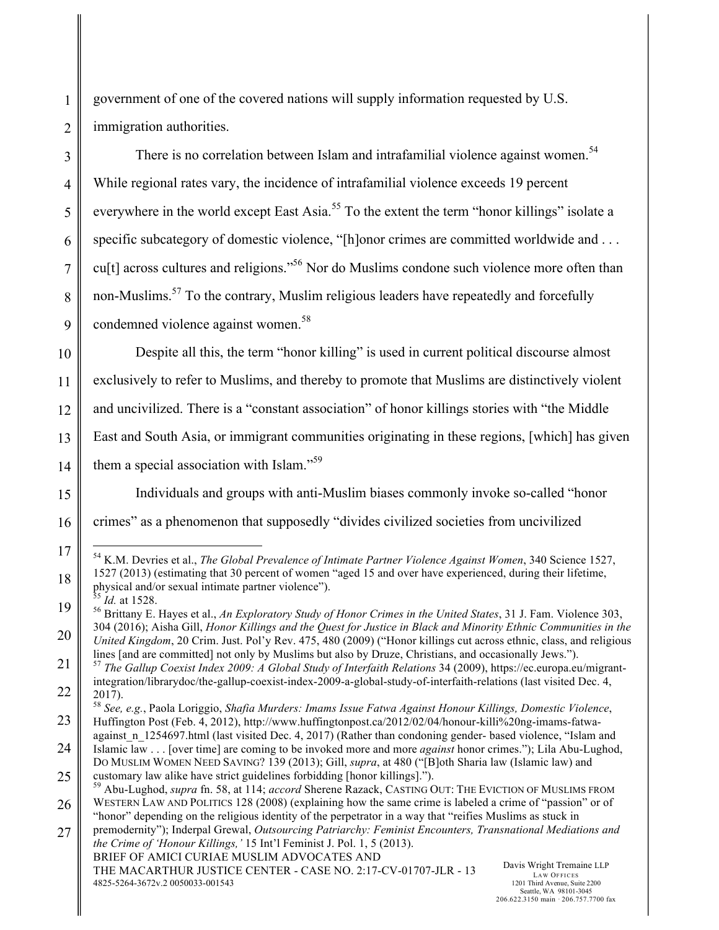government of one of the covered nations will supply information requested by U.S. immigration authorities.

There is no correlation between Islam and intrafamilial violence against women.<sup>54</sup> While regional rates vary, the incidence of intrafamilial violence exceeds 19 percent everywhere in the world except East Asia.<sup>55</sup> To the extent the term "honor killings" isolate a specific subcategory of domestic violence, "[h]onor crimes are committed worldwide and . . . cu[t] across cultures and religions."56 Nor do Muslims condone such violence more often than non-Muslims.57 To the contrary, Muslim religious leaders have repeatedly and forcefully condemned violence against women.<sup>58</sup>

Despite all this, the term "honor killing" is used in current political discourse almost exclusively to refer to Muslims, and thereby to promote that Muslims are distinctively violent and uncivilized. There is a "constant association" of honor killings stories with "the Middle East and South Asia, or immigrant communities originating in these regions, [which] has given them a special association with Islam."<sup>59</sup>

Individuals and groups with anti-Muslim biases commonly invoke so-called "honor crimes" as a phenomenon that supposedly "divides civilized societies from uncivilized

1

2

3

4

5

6

7

8

9

10

11

12

13

14

15

16

17

18

21 *United Kingdom*, 20 Crim. Just. Pol'y Rev. 475, 480 (2009) ("Honor killings cut across ethnic, class, and religious lines [and are committed] not only by Muslims but also by Druze, Christians, and occasionally Jews."). <sup>57</sup> *The Gallup Coexist Index 2009: A Global Study of Interfaith Relations* 34 (2009), https://ec.europa.eu/migrant-

 <sup>54</sup> K.M. Devries et al., *The Global Prevalence of Intimate Partner Violence Against Women*, 340 Science 1527, 1527 (2013) (estimating that 30 percent of women "aged 15 and over have experienced, during their lifetime,

<sup>19</sup>

<sup>20</sup> <sup>55</sup> *Id.* at 1528.<br><sup>56</sup> Brittany E. Haves et al., *An Exploratory Study of Honor Crimes in the United States*, 31 J. Fam. Violence 303, 304 (2016); Aisha Gill, *Honor Killings and the Quest for Justice in Black and Minority Ethnic Communities in the* 

<sup>22</sup> integration/librarydoc/the-gallup-coexist-index-2009-a-global-study-of-interfaith-relations (last visited Dec. 4, 2017). <sup>58</sup> *See, e.g.*, Paola Loriggio, *Shafia Murders: Imams Issue Fatwa Against Honour Killings, Domestic Violence*,

<sup>23</sup> Huffington Post (Feb. 4, 2012), http://www.huffingtonpost.ca/2012/02/04/honour-killi%20ng-imams-fatwa-

<sup>24</sup> against n 1254697.html (last visited Dec. 4, 2017) (Rather than condoning gender- based violence, "Islam and Islamic law . . . [over time] are coming to be invoked more and more *against* honor crimes."); Lila Abu-Lughod, DO MUSLIM WOMEN NEED SAVING? 139 (2013); Gill, *supra*, at 480 ("[B]oth Sharia law (Islamic law) and

<sup>25</sup> customary law alike have strict guidelines forbidding [honor killings].").

<sup>26</sup> <sup>59</sup> Abu-Lughod, *supra* fn. 58, at 114; *accord* Sherene Razack, CASTING OUT: THE EVICTION OF MUSLIMS FROM WESTERN LAW AND POLITICS 128 (2008) (explaining how the same crime is labeled a crime of "passion" or of

<sup>27</sup> "honor" depending on the religious identity of the perpetrator in a way that "reifies Muslims as stuck in premodernity"); Inderpal Grewal, *Outsourcing Patriarchy: Feminist Encounters, Transnational Mediations and* 

BRIEF OF AMICI CURIAE MUSLIM ADVOCATES AND THE MACARTHUR JUSTICE CENTER - CASE NO. 2:17-CV-01707-JLR - 13 4825-5264-3672v.2 0050033-001543 *the Crime of 'Honour Killings,'* 15 Int'l Feminist J. Pol. 1, 5 (2013).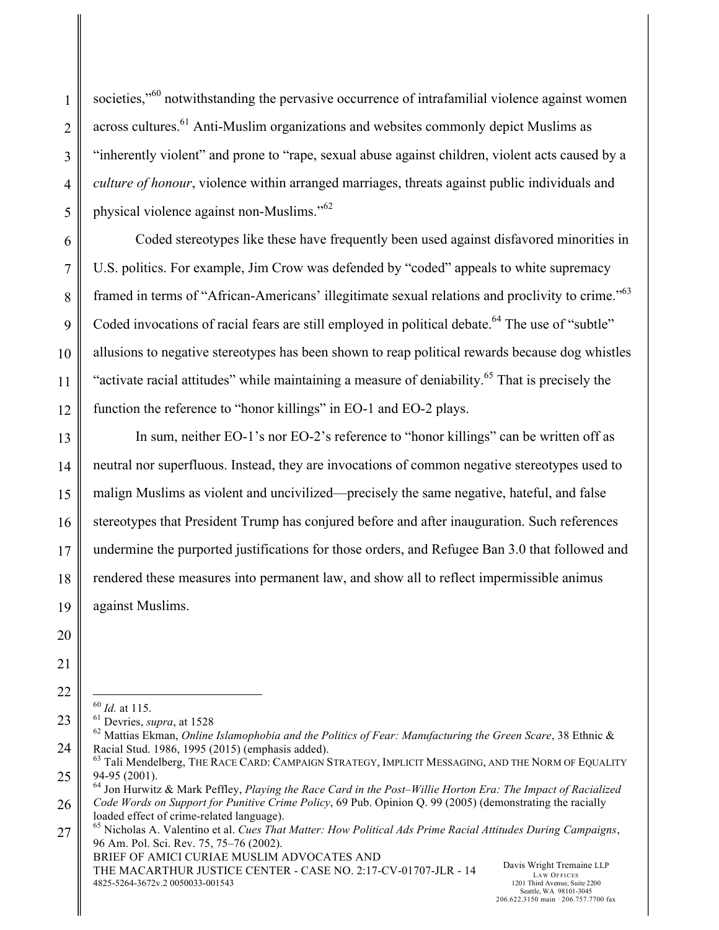societies,<sup>360</sup> notwithstanding the pervasive occurrence of intrafamilial violence against women across cultures.<sup>61</sup> Anti-Muslim organizations and websites commonly depict Muslims as "inherently violent" and prone to "rape, sexual abuse against children, violent acts caused by a *culture of honour*, violence within arranged marriages, threats against public individuals and physical violence against non-Muslims."<sup>62</sup>

Coded stereotypes like these have frequently been used against disfavored minorities in U.S. politics. For example, Jim Crow was defended by "coded" appeals to white supremacy framed in terms of "African-Americans' illegitimate sexual relations and proclivity to crime."63 Coded invocations of racial fears are still employed in political debate.<sup>64</sup> The use of "subtle" allusions to negative stereotypes has been shown to reap political rewards because dog whistles "activate racial attitudes" while maintaining a measure of deniability.<sup>65</sup> That is precisely the function the reference to "honor killings" in EO-1 and EO-2 plays.

In sum, neither EO-1's nor EO-2's reference to "honor killings" can be written off as neutral nor superfluous. Instead, they are invocations of common negative stereotypes used to malign Muslims as violent and uncivilized—precisely the same negative, hateful, and false stereotypes that President Trump has conjured before and after inauguration. Such references undermine the purported justifications for those orders, and Refugee Ban 3.0 that followed and rendered these measures into permanent law, and show all to reflect impermissible animus against Muslims.

BRIEF OF AMICI CURIAE MUSLIM ADVOCATES AND

THE MACARTHUR JUSTICE CENTER - CASE NO. 2:17-CV-01707-JLR - 14 4825-5264-3672v.2 0050033-001543

Davis Wright Tremaine LLP LAW OFFICES 1201 Third Avenue, Suite 2200 Seattle, WA 98101-3045 206.622.3150 main · 206.757.7700 fax

<sup>&</sup>lt;sup>60</sup> *Id.* at 115.<br><sup>61</sup> Devries, *supra*, at 1528<br><sup>62</sup> Mattias Ekman, *Online Islamophobia and the Politics of Fear: Manufacturing the Green Scare*, 38 Ethnic &

Racial Stud. 1986, 1995 (2015) (emphasis added).<br><sup>63</sup> Tali Mendelberg, THE RACE CARD: CAMPAIGN STRATEGY, IMPLICIT MESSAGING, AND THE NORM OF EQUALITY<br>94-95 (2001).

<sup>&</sup>lt;sup>64</sup> Jon Hurwitz & Mark Peffley, *Playing the Race Card in the Post–Willie Horton Era: The Impact of Racialized Code Words on Support for Punitive Crime Policy*, 69 Pub. Opinion Q. 99 (2005) (demonstrating the racially

loaded effect of crime-related language).<br><sup>65</sup> Nicholas A. Valentino et al. *Cues That Matter: How Political Ads Prime Racial Attitudes During Campaigns*, 96 Am. Pol. Sci. Rev. 75, 75–76 (2002).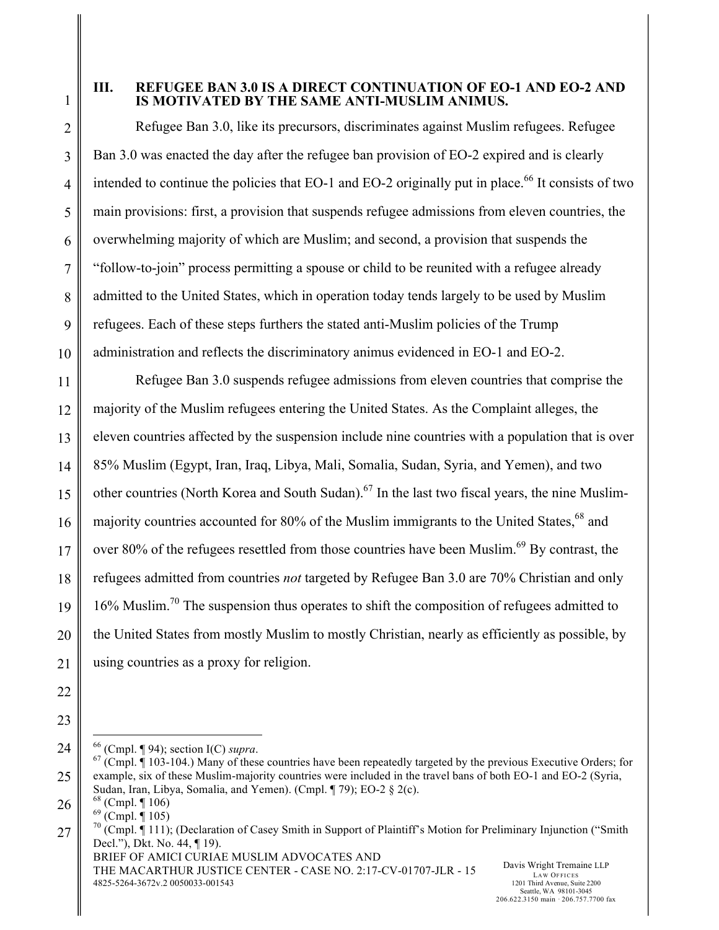#### **III. REFUGEE BAN 3.0 IS A DIRECT CONTINUATION OF EO-1 AND EO-2 AND IS MOTIVATED BY THE SAME ANTI-MUSLIM ANIMUS.**

Refugee Ban 3.0, like its precursors, discriminates against Muslim refugees. Refugee Ban 3.0 was enacted the day after the refugee ban provision of EO-2 expired and is clearly intended to continue the policies that EO-1 and EO-2 originally put in place.<sup>66</sup> It consists of two main provisions: first, a provision that suspends refugee admissions from eleven countries, the overwhelming majority of which are Muslim; and second, a provision that suspends the "follow-to-join" process permitting a spouse or child to be reunited with a refugee already admitted to the United States, which in operation today tends largely to be used by Muslim refugees. Each of these steps furthers the stated anti-Muslim policies of the Trump administration and reflects the discriminatory animus evidenced in EO-1 and EO-2.

Refugee Ban 3.0 suspends refugee admissions from eleven countries that comprise the majority of the Muslim refugees entering the United States. As the Complaint alleges, the eleven countries affected by the suspension include nine countries with a population that is over 85% Muslim (Egypt, Iran, Iraq, Libya, Mali, Somalia, Sudan, Syria, and Yemen), and two other countries (North Korea and South Sudan).<sup>67</sup> In the last two fiscal years, the nine Muslimmajority countries accounted for 80% of the Muslim immigrants to the United States,<sup>68</sup> and over 80% of the refugees resettled from those countries have been Muslim.<sup>69</sup> By contrast, the refugees admitted from countries *not* targeted by Refugee Ban 3.0 are 70% Christian and only 16% Muslim.70 The suspension thus operates to shift the composition of refugees admitted to the United States from mostly Muslim to mostly Christian, nearly as efficiently as possible, by using countries as a proxy for religion.

THE MACARTHUR JUSTICE CENTER - CASE NO. 2:17-CV-01707-JLR - 15 4825-5264-3672v.2 0050033-001543

<sup>&</sup>lt;sup>66</sup> (Cmpl. ¶ 94); section I(C) *supra*.<br><sup>67</sup> (Cmpl. ¶ 103-104.) Many of these countries have been repeatedly targeted by the previous Executive Orders; for example, six of these Muslim-majority countries were included in the travel bans of both EO-1 and EO-2 (Syria, Sudan, Iran, Libya, Somalia, and Yemen). (Cmpl.  $\P$  79); EO-2  $\S$  2(c).

BRIEF OF AMICI CURIAE MUSLIM ADVOCATES AND  $\frac{68}{69}$  (Cmpl. ¶ 106)<br>  $\frac{69}{70}$  (Cmpl. ¶ 105)<br>
70 (Cmpl. ¶ 111); (Declaration of Casey Smith in Support of Plaintiff's Motion for Preliminary Injunction ("Smith Decl."), Dkt. No. 44, ¶ 19).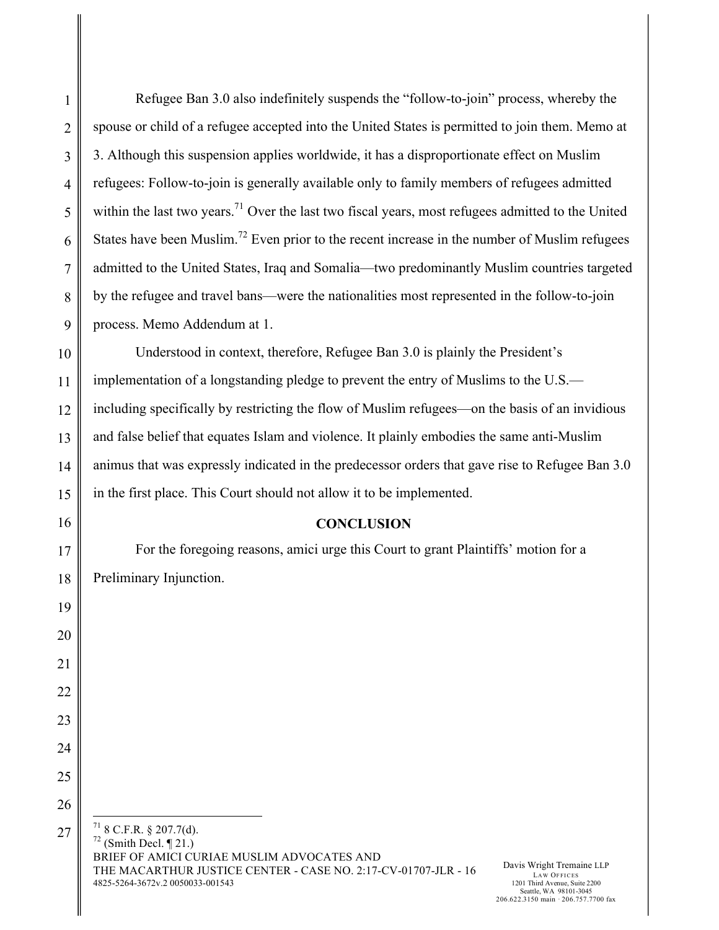Refugee Ban 3.0 also indefinitely suspends the "follow-to-join" process, whereby the spouse or child of a refugee accepted into the United States is permitted to join them. Memo at 3. Although this suspension applies worldwide, it has a disproportionate effect on Muslim refugees: Follow-to-join is generally available only to family members of refugees admitted within the last two years.<sup>71</sup> Over the last two fiscal years, most refugees admitted to the United States have been Muslim.<sup>72</sup> Even prior to the recent increase in the number of Muslim refugees admitted to the United States, Iraq and Somalia—two predominantly Muslim countries targeted by the refugee and travel bans—were the nationalities most represented in the follow-to-join process. Memo Addendum at 1.

Understood in context, therefore, Refugee Ban 3.0 is plainly the President's implementation of a longstanding pledge to prevent the entry of Muslims to the U.S. including specifically by restricting the flow of Muslim refugees—on the basis of an invidious and false belief that equates Islam and violence. It plainly embodies the same anti-Muslim animus that was expressly indicated in the predecessor orders that gave rise to Refugee Ban 3.0 in the first place. This Court should not allow it to be implemented.

#### **CONCLUSION**

For the foregoing reasons, amici urge this Court to grant Plaintiffs' motion for a Preliminary Injunction.

BRIEF OF AMICI CURIAE MUSLIM ADVOCATES AND THE MACARTHUR JUSTICE CENTER - CASE NO. 2:17-CV-01707-JLR - 16 4825-5264-3672v.2 0050033-001543 <sup>71</sup> 8 C.F.R. § 207.7(d).<br><sup>72</sup> (Smith Decl. ¶ 21.)

Davis Wright Tremaine LLP LAW OFFICES 1201 Third Avenue, Suite 2200 Seattle, WA 98101-3045 206.622.3150 main · 206.757.7700 fax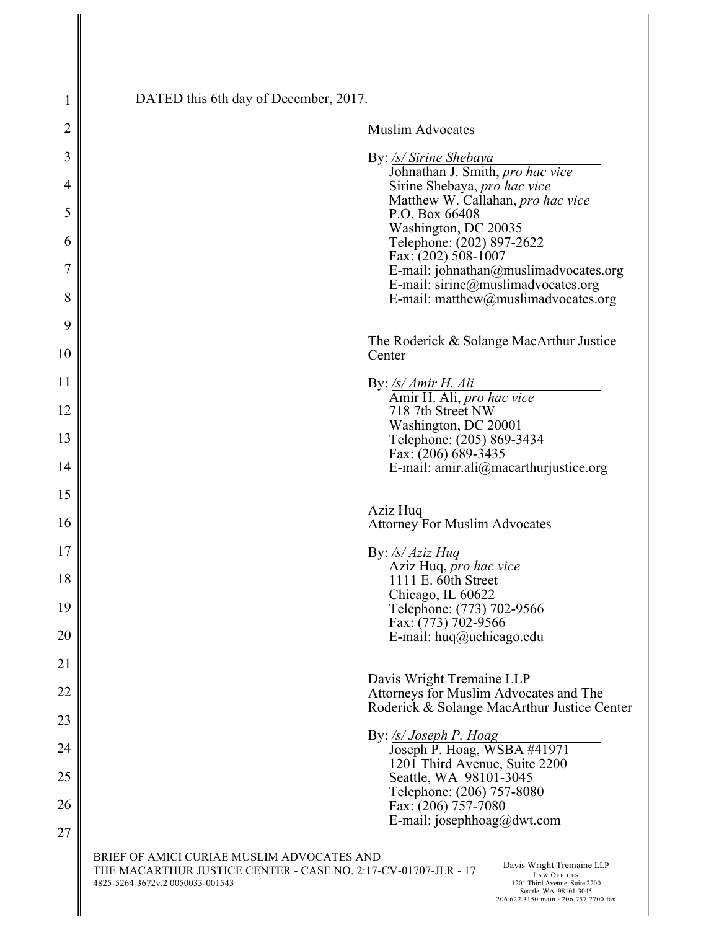| 1        | DATED this 6th day of December, 2017.                                                                                                                                                                                                                                                                |
|----------|------------------------------------------------------------------------------------------------------------------------------------------------------------------------------------------------------------------------------------------------------------------------------------------------------|
| 2        | <b>Muslim Advocates</b>                                                                                                                                                                                                                                                                              |
| 3<br>4   | By: /s/ Sirine Shebaya<br>Johnathan J. Smith, pro hac vice<br>Sirine Shebaya, pro hac vice                                                                                                                                                                                                           |
| 5        | Matthew W. Callahan, pro hac vice<br>P.O. Box 66408                                                                                                                                                                                                                                                  |
| 6        | Washington, DC 20035<br>Telephone: (202) 897-2622<br>Fax: (202) 508-1007                                                                                                                                                                                                                             |
| 7<br>8   | E-mail: johnathan@muslimadvocates.org<br>E-mail: sirine@muslimadvocates.org<br>E-mail: matthew@muslimadvocates.org                                                                                                                                                                                   |
| 9        |                                                                                                                                                                                                                                                                                                      |
| 10       | The Roderick & Solange MacArthur Justice<br>Center                                                                                                                                                                                                                                                   |
| 11       | By: <u>/s/ Amir H. Ali</u><br>Amir H. Ali, pro hac vice                                                                                                                                                                                                                                              |
| 12       | 718 7th Street NW<br>Washington, DC 20001                                                                                                                                                                                                                                                            |
| 13<br>14 | Telephone: (205) 869-3434<br>Fax: (206) 689-3435<br>E-mail: amir.ali $@$ macarthurjustice.org                                                                                                                                                                                                        |
| 15       |                                                                                                                                                                                                                                                                                                      |
| 16       | Aziz Huq<br><b>Attorney For Muslim Advocates</b>                                                                                                                                                                                                                                                     |
| 17       | By: $\frac{S}{Aziz}$ Hug<br>Aziz Huq, pro hac vice                                                                                                                                                                                                                                                   |
| 18       | 1111 E. 60th Street<br>Chicago, IL 60622                                                                                                                                                                                                                                                             |
| 19       | Telephone: (773) 702-9566<br>Fax: (773) 702-9566                                                                                                                                                                                                                                                     |
| 20<br>21 | E-mail: $huq@$ uchicago.edu                                                                                                                                                                                                                                                                          |
| 22       | Davis Wright Tremaine LLP<br>Attorneys for Muslim Advocates and The                                                                                                                                                                                                                                  |
| 23       | Roderick & Solange MacArthur Justice Center                                                                                                                                                                                                                                                          |
| 24       | By: /s/ Joseph P. Hoag<br>Joseph P. Hoag, WSBA #41971                                                                                                                                                                                                                                                |
| 25       | 1201 Third Avenue, Suite 2200<br>Seattle, WA 98101-3045<br>Telephone: (206) 757-8080                                                                                                                                                                                                                 |
| 26       | Fax: (206) 757-7080<br>E-mail: josephhoag@dwt.com                                                                                                                                                                                                                                                    |
| 27       | BRIEF OF AMICI CURIAE MUSLIM ADVOCATES AND<br>Davis Wright Tremaine LLP<br>THE MACARTHUR JUSTICE CENTER - CASE NO. 2:17-CV-01707-JLR - 17<br><b>LAW OFFICES</b><br>4825-5264-3672v.2 0050033-001543<br>1201 Third Avenue, Suite 2200<br>Seattle, WA 98101-3045<br>206.622.3150 main 206.757.7700 fax |

║